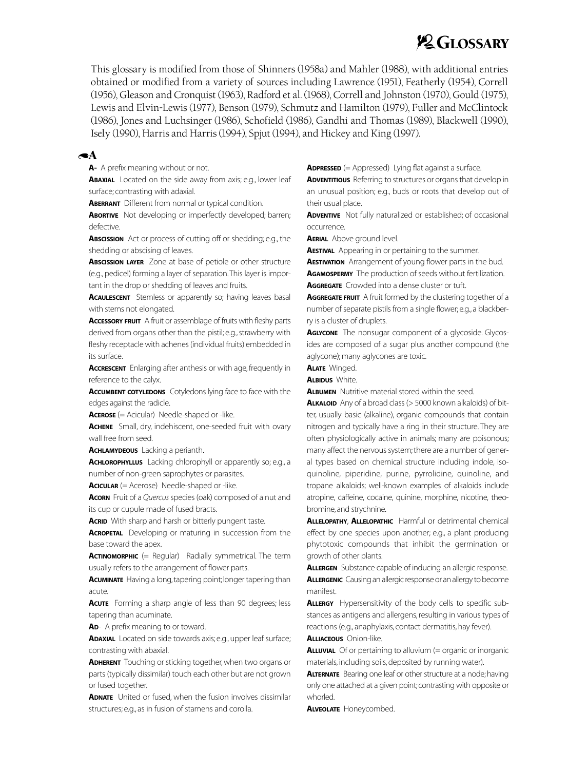# **22 GLOSSARY**

This glossary is modified from those of Shinners (1958a) and Mahler (1988), with additional entries obtained or modified from a variety of sources including Lawrence (1951), Featherly (1954), Correll (1956), Gleason and Cronquist (1963), Radford et al. (1968), Correll and Johnston (1970), Gould (1975), Lewis and Elvin-Lewis (1977), Benson (1979), Schmutz and Hamilton (1979), Fuller and McClintock (1986), Jones and Luchsinger (1986), Schofield (1986), Gandhi and Thomas (1989), Blackwell (1990), Isely (1990), Harris and Harris (1994), Spjut (1994), and Hickey and King (1997).

## AA

**A-** A prefix meaning without or not.

**ABAXIAL** Located on the side away from axis; e.g., lower leaf surface; contrasting with adaxial.

**ABERRANT** Different from normal or typical condition.

**ABORTIVE** Not developing or imperfectly developed; barren; defective.

**ABSCISSION** Act or process of cutting off or shedding; e.g., the shedding or abscising of leaves.

**ABSCISSION LAYER** Zone at base of petiole or other structure (e.g., pedicel) forming a layer of separation.This layer is important in the drop or shedding of leaves and fruits.

**ACAULESCENT** Stemless or apparently so; having leaves basal with stems not elongated.

**ACCESSORY FRUIT** A fruit or assemblage of fruits with fleshy parts derived from organs other than the pistil; e.g., strawberry with fleshy receptacle with achenes (individual fruits) embedded in its surface.

**ACCRESCENT** Enlarging after anthesis or with age, frequently in reference to the calyx.

**ACCUMBENT COTYLEDONS** Cotyledons lying face to face with the edges against the radicle.

**ACEROSE** (= Acicular) Needle-shaped or -like.

**ACHENE** Small, dry, indehiscent, one-seeded fruit with ovary wall free from seed.

**ACHLAMYDEOUS** Lacking a perianth.

**ACHLOROPHYLLUS** Lacking chlorophyll or apparently so; e.g., a number of non-green saprophytes or parasites.

**ACICULAR** (= Acerose) Needle-shaped or -like.

**ACORN** Fruit of a *Quercus*species (oak) composed of a nut and its cup or cupule made of fused bracts.

**ACRID** With sharp and harsh or bitterly pungent taste.

**ACROPETAL** Developing or maturing in succession from the base toward the apex.

**ACTINOMORPHIC** (= Regular) Radially symmetrical. The term usually refers to the arrangement of flower parts.

**ACUMINATE** Having a long, tapering point; longer tapering than acute.

**ACUTE** Forming a sharp angle of less than 90 degrees; less tapering than acuminate.

AD- A prefix meaning to or toward.

**ADAXIAL** Located on side towards axis; e.g., upper leaf surface; contrasting with abaxial.

**ADHERENT** Touching or sticking together, when two organs or parts (typically dissimilar) touch each other but are not grown or fused together.

**ADNATE** United or fused, when the fusion involves dissimilar structures; e.g., as in fusion of stamens and corolla.

**ADPRESSED** (= Appressed) Lying flat against a surface.

**ADVENTITIOUS** Referring to structures or organs that develop in an unusual position; e.g., buds or roots that develop out of their usual place.

**ADVENTIVE** Not fully naturalized or established; of occasional occurrence.

**AERIAL** Above ground level.

**AESTIVAL** Appearing in or pertaining to the summer.

**AESTIVATION** Arrangement of young flower parts in the bud. **AGAMOSPERMY** The production of seeds without fertilization.

**AGGREGATE** Crowded into a dense cluster or tuft.

**AGGREGATE FRUIT** A fruit formed by the clustering together of a number of separate pistils from a single flower; e.g., a blackberry is a cluster of druplets.

**AGLYCONE** The nonsugar component of a glycoside. Glycosides are composed of a sugar plus another compound (the aglycone); many aglycones are toxic.

**ALATE** Winged.

**ALBIDUS** White.

**ALBUMEN** Nutritive material stored within the seed.

**ALKALOID** Any of a broad class (> 5000 known alkaloids) of bitter, usually basic (alkaline), organic compounds that contain nitrogen and typically have a ring in their structure. They are often physiologically active in animals; many are poisonous; many affect the nervous system; there are a number of general types based on chemical structure including indole, isoquinoline, piperidine, purine, pyrrolidine, quinoline, and tropane alkaloids; well-known examples of alkaloids include atropine, caffeine, cocaine, quinine, morphine, nicotine, theobromine, and strychnine.

**ALLELOPATHY**, **ALLELOPATHIC** Harmful or detrimental chemical effect by one species upon another; e.g., a plant producing phytotoxic compounds that inhibit the germination or growth of other plants.

**ALLERGEN** Substance capable of inducing an allergic response. **ALLERGENIC** Causing an allergic response or an allergy to become manifest.

**ALLERGY** Hypersensitivity of the body cells to specific substances as antigens and allergens, resulting in various types of reactions (e.g., anaphylaxis, contact dermatitis, hay fever).

**ALLIACEOUS** Onion-like.

**ALLUVIAL** Of or pertaining to alluvium (= organic or inorganic materials, including soils, deposited by running water).

**ALTERNATE** Bearing one leaf or other structure at a node; having only one attached at a given point;contrasting with opposite or whorled.

**ALVEOLATE** Honeycombed.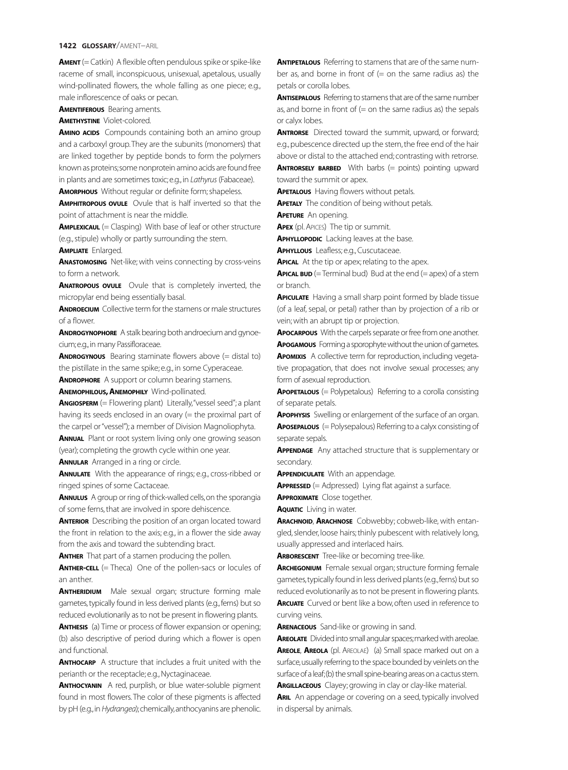#### **1422 GLOSSARY**/AMENT–ARIL

**AMENT** (= Catkin) A flexible often pendulous spike or spike-like raceme of small, inconspicuous, unisexual, apetalous, usually wind-pollinated flowers, the whole falling as one piece; e.g., male inflorescence of oaks or pecan.

**AMENTIFEROUS** Bearing aments.

**AMETHYSTINE** Violet-colored.

**AMINO ACIDS** Compounds containing both an amino group and a carboxyl group.They are the subunits (monomers) that are linked together by peptide bonds to form the polymers known as proteins;some nonprotein amino acids are found free in plants and are sometimes toxic; e.g., in *Lathyrus* (Fabaceae).

**AMORPHOUS** Without regular or definite form; shapeless.

**AMPHITROPOUS OVULE** Ovule that is half inverted so that the point of attachment is near the middle.

**AMPLEXICAUL** (= Clasping) With base of leaf or other structure (e.g., stipule) wholly or partly surrounding the stem.

**AMPLIATE** Enlarged.

**ANASTOMOSING** Net-like; with veins connecting by cross-veins to form a network.

**ANATROPOUS OVULE** Ovule that is completely inverted, the micropylar end being essentially basal.

**ANDROECIUM** Collective term for the stamens or male structures of a flower.

**ANDROGYNOPHORE** A stalk bearing both androecium and gynoecium;e.g.,in many Passifloraceae.

**ANDROGYNOUS** Bearing staminate flowers above (= distal to) the pistillate in the same spike; e.g., in some Cyperaceae.

**ANDROPHORE** A support or column bearing stamens.

**ANEMOPHILOUS, ANEMOPHILY** Wind-pollinated.

**ANGIOSPERM** (= Flowering plant) Literally,"vessel seed"; a plant having its seeds enclosed in an ovary  $(=$  the proximal part of the carpel or "vessel"); a member of Division Magnoliophyta. **ANNUAL** Plant or root system living only one growing season

(year); completing the growth cycle within one year.

**ANNULAR** Arranged in a ring or circle.

**ANNULATE** With the appearance of rings; e.g., cross-ribbed or ringed spines of some Cactaceae.

**ANNULUS** A group or ring of thick-walled cells, on the sporangia of some ferns, that are involved in spore dehiscence.

**ANTERIOR** Describing the position of an organ located toward the front in relation to the axis; e.g., in a flower the side away from the axis and toward the subtending bract.

**ANTHER** That part of a stamen producing the pollen.

**ANTHER-CELL** (= Theca) One of the pollen-sacs or locules of an anther.

**ANTHERIDIUM** Male sexual organ; structure forming male gametes, typically found in less derived plants (e.g., ferns) but so reduced evolutionarily as to not be present in flowering plants.

**ANTHESIS** (a) Time or process of flower expansion or opening; (b) also descriptive of period during which a flower is open and functional.

**ANTHOCARP** A structure that includes a fruit united with the perianth or the receptacle; e.g., Nyctaginaceae.

**ANTHOCYANIN** A red, purplish, or blue water-soluble pigment found in most flowers. The color of these pigments is affected by pH (e.g.,in *Hydrangea*);chemically,anthocyanins are phenolic. **ANTIPETALOUS** Referring to stamens that are of the same number as, and borne in front of  $(=$  on the same radius as) the petals or corolla lobes.

**ANTISEPALOUS** Referring to stamens that are of the same number as, and borne in front of  $(=$  on the same radius as) the sepals or calyx lobes.

**ANTRORSE** Directed toward the summit, upward, or forward; e.g., pubescence directed up the stem, the free end of the hair above or distal to the attached end; contrasting with retrorse.

**ANTRORSELY BARBED** With barbs (= points) pointing upward toward the summit or apex.

**APETALOUS** Having flowers without petals.

**APETALY** The condition of being without petals.

**APETURE** An opening.

**APEX** (pl. APICES) The tip or summit.

**APHYLLOPODIC** Lacking leaves at the base.

**APHYLLOUS** Leafless; e.g., Cuscutaceae.

**APICAL** At the tip or apex; relating to the apex.

**APICAL BUD** (= Terminal bud) Bud at the end (= apex) of a stem or branch.

**APICULATE** Having a small sharp point formed by blade tissue (of a leaf, sepal, or petal) rather than by projection of a rib or vein; with an abrupt tip or projection.

**APOCARPOUS** With the carpels separate or free from one another. **APOGAMOUS** Forming a sporophyte without the union of gametes. **APOMIXIS** A collective term for reproduction, including vegetative propagation, that does not involve sexual processes; any form of asexual reproduction.

**APOPETALOUS** (= Polypetalous) Referring to a corolla consisting of separate petals.

**APOPHYSIS** Swelling or enlargement of the surface of an organ. **APOSEPALOUS** (= Polysepalous) Referring to a calyx consisting of separate sepals.

**APPENDAGE** Any attached structure that is supplementary or secondary.

**APPENDICULATE** With an appendage.

APPRESSED (= Adpressed) Lying flat against a surface.

**APPROXIMATE** Close together.

**AQUATIC** Living in water.

**ARACHNOID**, **ARACHNOSE** Cobwebby; cobweb-like, with entangled, slender, loose hairs; thinly pubescent with relatively long, usually appressed and interlaced hairs.

**ARBORESCENT** Tree-like or becoming tree-like.

**ARCHEGONIUM** Female sexual organ; structure forming female gametes,typically found in less derived plants (e.g.,ferns) but so reduced evolutionarily as to not be present in flowering plants. **ARCUATE** Curved or bent like a bow, often used in reference to curving veins.

**ARENACEOUS** Sand-like or growing in sand.

**AREOLATE** Divided into small angular spaces;marked with areolae. **AREOLE**, **AREOLA** (pl. AREOLAE) (a) Small space marked out on a surface,usually referring to the space bounded by veinlets on the surface of a leaf;(b) the small spine-bearing areas on a cactus stem. **ARGILLACEOUS** Clayey; growing in clay or clay-like material.

**ARIL** An appendage or covering on a seed, typically involved in dispersal by animals.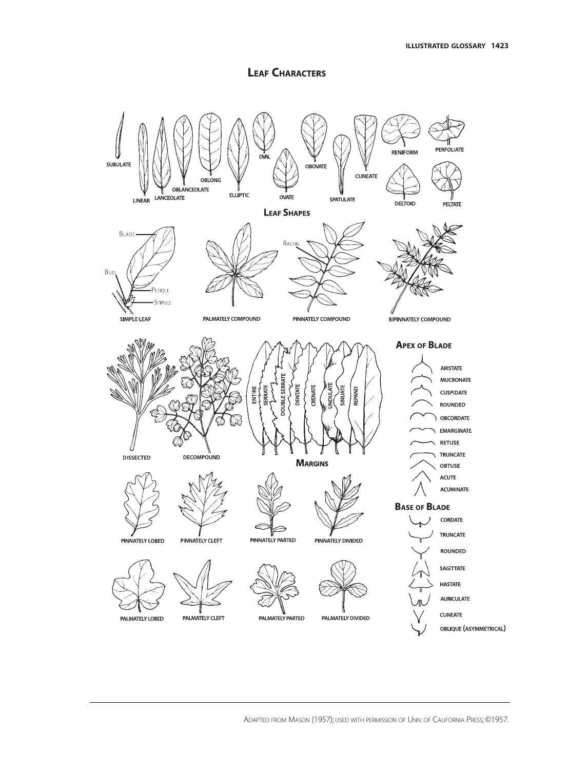## **LEAF CHARACTERS**

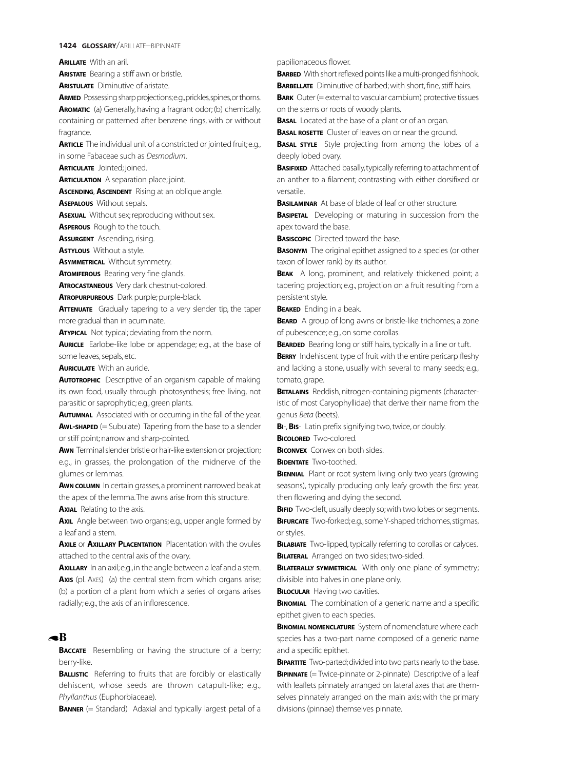#### **1424 GLOSSARY**/ARILLATE–BIPINNATE

**ARILLATE** With an aril.

**ARISTATE** Bearing a stiff awn or bristle. **ARISTULATE** Diminutive of aristate.

**ARMED** Possessing sharp projections;e.g.,prickles,spines,or thorns. **AROMATIC** (a) Generally, having a fragrant odor; (b) chemically, containing or patterned after benzene rings, with or without fragrance.

**ARTICLE** The individual unit of a constricted or jointed fruit; e.g., in some Fabaceae such as *Desmodium*.

**ARTICULATE** Jointed; joined.

**ARTICULATION** A separation place; joint.

**ASCENDING, ASCENDENT** Rising at an oblique angle.

**ASEPALOUS** Without sepals.

**ASEXUAL** Without sex; reproducing without sex.

**ASPEROUS** Rough to the touch.

**AssurgENT** Ascending, rising.

**Astylous** Without a style.

**ASYMMETRICAL** Without symmetry.

**ATOMIFEROUS** Bearing very fine glands.

**ATROCASTANEOUS** Very dark chestnut-colored.

**ATROPURPUREOUS** Dark purple; purple-black.

**ATTENUATE** Gradually tapering to a very slender tip, the taper more gradual than in acuminate.

**ATYPICAL** Not typical; deviating from the norm.

**AURICLE** Earlobe-like lobe or appendage; e.g., at the base of some leaves, sepals, etc.

**AURICULATE** With an auricle.

**AUTOTROPHIC** Descriptive of an organism capable of making its own food, usually through photosynthesis; free living, not parasitic or saprophytic;e.g., green plants.

**AUTUMNAL** Associated with or occurring in the fall of the year. **AWL-SHAPED** (= Subulate) Tapering from the base to a slender or stiff point; narrow and sharp-pointed.

**AWN** Terminal slender bristle or hair-like extension or projection; e.g., in grasses, the prolongation of the midnerve of the glumes or lemmas.

**AWN COLUMN** In certain grasses,a prominent narrowed beak at the apex of the lemma.The awns arise from this structure. **Axial** Relating to the axis.

AxiL Angle between two organs; e.g., upper angle formed by a leaf and a stem.

**AXILE** or **AXILLARY PLACENTATION** Placentation with the ovules attached to the central axis of the ovary.

**AXILLARY** In an axil;e.g.,in the angle between a leaf and a stem. Axis (pl. AxES) (a) the central stem from which organs arise; (b) a portion of a plant from which a series of organs arises radially; e.g., the axis of an inflorescence.

# B A

**BACCATE** Resembling or having the structure of a berry; berry-like.

**BALLISTIC** Referring to fruits that are forcibly or elastically dehiscent, whose seeds are thrown catapult-like; e.g., *Phyllanthus* (Euphorbiaceae).

**BANNER** (= Standard) Adaxial and typically largest petal of a

#### papilionaceous flower.

**BARBED** With short reflexed points like a multi-pronged fishhook. **BARBELLATE** Diminutive of barbed; with short, fine, stiff hairs.

**BARK** Outer (= external to vascular cambium) protective tissues on the stems or roots of woody plants.

**BASAL** Located at the base of a plant or of an organ.

**BASAL ROSETTE** Cluster of leaves on or near the ground.

**BASAL STYLE** Style projecting from among the lobes of a deeply lobed ovary.

**BASIFIXED** Attached basally, typically referring to attachment of an anther to a filament; contrasting with either dorsifixed or versatile.

**BASILAMINAR** At base of blade of leaf or other structure.

**BASIPETAL** Developing or maturing in succession from the apex toward the base.

**BASISCOPIC** Directed toward the base.

**BASONYM** The original epithet assigned to a species (or other taxon of lower rank) by its author.

**BEAK** A long, prominent, and relatively thickened point; a tapering projection; e.g., projection on a fruit resulting from a persistent style.

**BEAKED** Ending in a beak.

**BEARD** A group of long awns or bristle-like trichomes; a zone of pubescence; e.g., on some corollas.

**BEARDED** Bearing long or stiff hairs, typically in a line or tuft.

**BERRY** Indehiscent type of fruit with the entire pericarp fleshy and lacking a stone, usually with several to many seeds; e.g., tomato, grape.

**BETALAINS** Reddish, nitrogen-containing pigments (characteristic of most Caryophyllidae) that derive their name from the genus *Beta* (beets).

**BI**-,**BIS**- Latin prefix signifying two, twice, or doubly.

**BICOLORED** Two-colored.

**BICONVEX** Convex on both sides.

**BIDENTATE** Two-toothed.

**BIENNIAL** Plant or root system living only two years (growing seasons), typically producing only leafy growth the first year, then flowering and dying the second.

**BIFID** Two-cleft, usually deeply so; with two lobes or segments. **BIFURCATE** Two-forked; e.g., some Y-shaped trichomes, stigmas, or styles.

**BILABIATE** Two-lipped, typically referring to corollas or calyces. **BILATERAL** Arranged on two sides; two-sided.

**BILATERALLY SYMMETRICAL** With only one plane of symmetry; divisible into halves in one plane only.

**BILOCULAR** Having two cavities.

**BINOMIAL** The combination of a generic name and a specific epithet given to each species.

**BINOMIAL NOMENCLATURE** System of nomenclature where each species has a two-part name composed of a generic name and a specific epithet.

**BIPARTITE** Two-parted;divided into two parts nearly to the base. **BIPINNATE** (= Twice-pinnate or 2-pinnate) Descriptive of a leaf with leaflets pinnately arranged on lateral axes that are themselves pinnately arranged on the main axis; with the primary divisions (pinnae) themselves pinnate.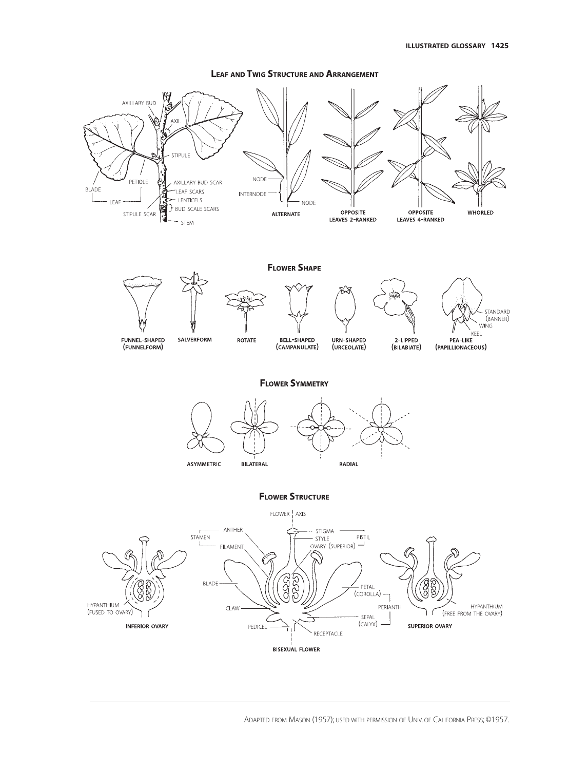

ADAPTED FROM MASON (1957); USED WITH PERMISSION OF UNIV. OF CALIFORNIA PRESS; ©1957.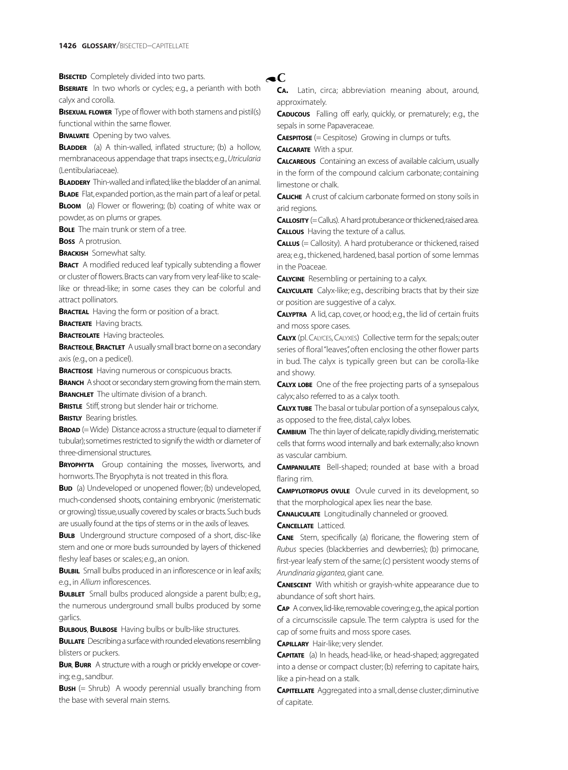**BISECTED** Completely divided into two parts.

**BISERIATE** In two whorls or cycles; e.g., a perianth with both calyx and corolla.

**BISEXUAL FLOWER** Type of flower with both stamens and pistil(s) functional within the same flower.

**BIVALVATE** Opening by two valves.

**BLADDER** (a) A thin-walled, inflated structure; (b) a hollow, membranaceous appendage that traps insects;e.g.,*Utricularia* (Lentibulariaceae).

**BLADDERY** Thin-walled and inflated; like the bladder of an animal. **BLADE** Flat, expanded portion, as the main part of a leaf or petal. **BLOOM** (a) Flower or flowering; (b) coating of white wax or powder, as on plums or grapes.

**BOLE** The main trunk or stem of a tree.

**BOSS** A protrusion.

**BRACKISH** Somewhat salty.

**BRACT** A modified reduced leaf typically subtending a flower or cluster of flowers.Bracts can vary from very leaf-like to scalelike or thread-like; in some cases they can be colorful and attract pollinators.

**BRACTEAL** Having the form or position of a bract.

**BRACTEATE** Having bracts.

**BRACTEOLATE** Having bracteoles.

**BRACTEOLE, BRACTLET** A usually small bract borne on a secondary axis (e.g., on a pedicel).

**BRACTEOSE** Having numerous or conspicuous bracts.

**BRANCH** A shoot or secondary stem growing from the main stem. **BRANCHLET** The ultimate division of a branch.

**BRISTLE** Stiff, strong but slender hair or trichome.

**BRISTLY** Bearing bristles.

**BROAD** (= Wide) Distance across a structure (equal to diameter if tubular);sometimes restricted to signify the width or diameter of three-dimensional structures.

**BRYOPHYTA** Group containing the mosses, liverworts, and hornworts.The Bryophyta is not treated in this flora.

**BUD** (a) Undeveloped or unopened flower; (b) undeveloped, much-condensed shoots, containing embryonic (meristematic or growing) tissue, usually covered by scales or bracts. Such buds are usually found at the tips of stems or in the axils of leaves.

**BULB** Underground structure composed of a short, disc-like stem and one or more buds surrounded by layers of thickened fleshy leaf bases or scales; e.g., an onion.

**BULBIL** Small bulbs produced in an inflorescence or in leaf axils; e.g., in *Allium* inflorescences.

**BULBLET** Small bulbs produced alongside a parent bulb; e.g., the numerous underground small bulbs produced by some garlics.

**BULBOUS**, **BULBOSE** Having bulbs or bulb-like structures.

**BULLATE** Describing a surface with rounded elevations resembling blisters or puckers.

**BUR**, **BURR** A structure with a rough or prickly envelope or covering; e.g., sandbur.

**BUSH** (= Shrub) A woody perennial usually branching from the base with several main stems.

# $\triangleleft C$

Latin, circa; abbreviation meaning about, around, approximately.

**CADUCOUS** Falling off early, quickly, or prematurely; e.g., the sepals in some Papaveraceae.

**CAESPITOSE** (= Cespitose) Growing in clumps or tufts.

**CALCARATE** With a spur.

**CALCAREOUS** Containing an excess of available calcium, usually in the form of the compound calcium carbonate; containing limestone or chalk.

**CALICHE** A crust of calcium carbonate formed on stony soils in arid regions.

**CALLOSITY** (= Callus). A hard protuberance or thickened, raised area. **CALLOUS** Having the texture of a callus.

**CALLUS** (= Callosity). A hard protuberance or thickened, raised area; e.g., thickened, hardened, basal portion of some lemmas in the Poaceae.

**CALYCINE** Resembling or pertaining to a calyx.

**CALYCULATE** Calyx-like; e.g., describing bracts that by their size or position are suggestive of a calyx.

**CALYPTRA** A lid, cap, cover, or hood; e.g., the lid of certain fruits and moss spore cases.

**CALYX** (pl. CALYCES, CALYXES) Collective term for the sepals; outer series of floral "leaves", often enclosing the other flower parts in bud. The calyx is typically green but can be corolla-like and showy.

**CALYX LOBE** One of the free projecting parts of a synsepalous calyx; also referred to as a calyx tooth.

**CALYX TUBE** The basal or tubular portion of a synsepalous calyx, as opposed to the free, distal, calyx lobes.

**CAMBIUM** The thin layer of delicate, rapidly dividing, meristematic cells that forms wood internally and bark externally; also known as vascular cambium.

**CAMPANULATE** Bell-shaped; rounded at base with a broad flaring rim.

**CAMPYLOTROPUS OVULE** Ovule curved in its development, so that the morphological apex lies near the base.

**CANALICULATE** Longitudinally channeled or grooved.

**CANCELLATE** Latticed.

**CANE** Stem, specifically (a) floricane, the flowering stem of *Rubus* species (blackberries and dewberries); (b) primocane, first-year leafy stem of the same; (c) persistent woody stems of *Arundinaria gigantea*, giant cane.

**CANESCENT** With whitish or grayish-white appearance due to abundance of soft short hairs.

**CAP** A convex, lid-like, removable covering; e.g., the apical portion of a circumscissile capsule. The term calyptra is used for the cap of some fruits and moss spore cases.

**CAPILLARY** Hair-like; very slender.

**CAPITATE** (a) In heads, head-like, or head-shaped; aggregated into a dense or compact cluster; (b) referring to capitate hairs, like a pin-head on a stalk.

**CAPITELLATE** Aggregated into a small, dense cluster; diminutive of capitate.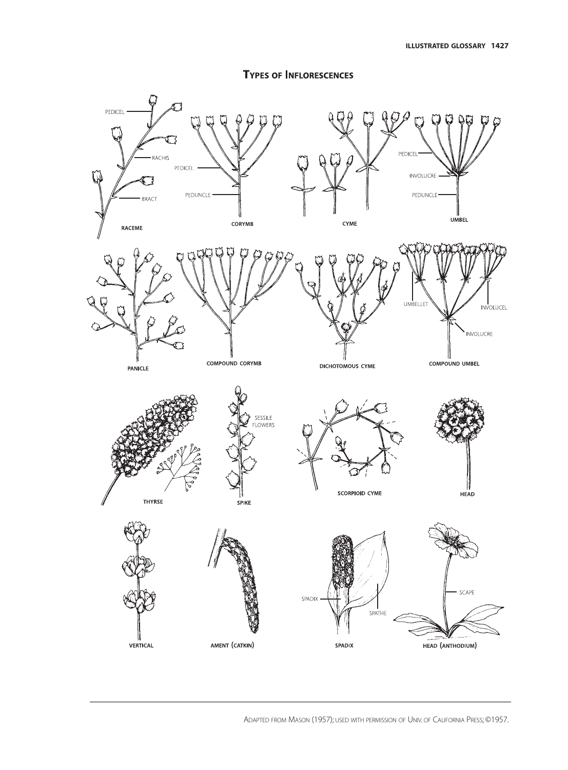## **TYPES OF INFLORESCENCES**

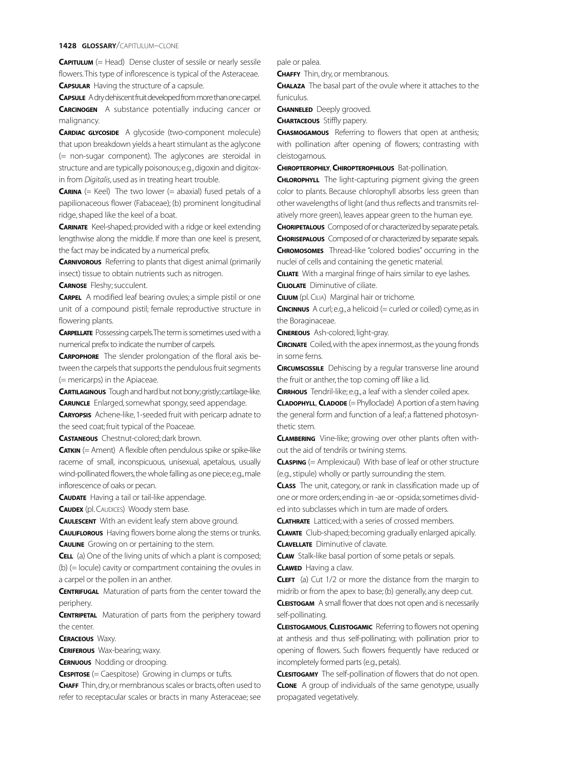#### **1428 GLOSSARY**/CAPITULUM–CLONE

**CAPITULUM** (= Head) Dense cluster of sessile or nearly sessile flowers.This type of inflorescence is typical of the Asteraceae. **CAPSULAR** Having the structure of a capsule.

**CAPSULE** A dry dehiscent fruit developed from more than one carpel. **CARCINOGEN** A substance potentially inducing cancer or malignancy.

**CARDIAC GLYCOSIDE** A glycoside (two-component molecule) that upon breakdown yields a heart stimulant as the aglycone (= non-sugar component). The aglycones are steroidal in structure and are typically poisonous;e.g.,digoxin and digitoxin from *Digitalis*, used as in treating heart trouble.

**CARINA** (= Keel) The two lower (= abaxial) fused petals of a papilionaceous flower (Fabaceae); (b) prominent longitudinal ridge, shaped like the keel of a boat.

**CARINATE** Keel-shaped; provided with a ridge or keel extending lengthwise along the middle. If more than one keel is present, the fact may be indicated by a numerical prefix.

**CARNIVOROUS** Referring to plants that digest animal (primarily insect) tissue to obtain nutrients such as nitrogen.

**CARNOSE** Fleshy; succulent.

**CARPEL** A modified leaf bearing ovules; a simple pistil or one unit of a compound pistil; female reproductive structure in flowering plants.

**CARPELLATE** Possessing carpels.The term is sometimes used with a numerical prefix to indicate the number of carpels.

**CARPOPHORE** The slender prolongation of the floral axis between the carpels that supports the pendulous fruit segments (= mericarps) in the Apiaceae.

**CARTILAGINOUS** Tough and hard but not bony;gristly;cartilage-like. **CARUNCLE** Enlarged, somewhat spongy, seed appendage.

**CARYOPSIS** Achene-like, 1-seeded fruit with pericarp adnate to the seed coat; fruit typical of the Poaceae.

**CASTANEOUS** Chestnut-colored; dark brown.

**CATKIN** (= Ament) A flexible often pendulous spike or spike-like raceme of small, inconspicuous, unisexual, apetalous, usually wind-pollinated flowers, the whole falling as one piece; e.g., male inflorescence of oaks or pecan.

**CAUDATE** Having a tail or tail-like appendage.

**CAUDEX** (pl. CAUDICES) Woody stem base.

**CAULESCENT** With an evident leafy stem above ground.

**CAULIFLOROUS** Having flowers borne along the stems or trunks. **CAULINE** Growing on or pertaining to the stem.

**CELL** (a) One of the living units of which a plant is composed; (b) (= locule) cavity or compartment containing the ovules in a carpel or the pollen in an anther.

**CENTRIFUGAL** Maturation of parts from the center toward the periphery.

**CENTRIPETAL** Maturation of parts from the periphery toward the center.

**CERACEOUS** Waxy.

**CERIFEROUS** Wax-bearing; waxy.

**CERNUOUS** Nodding or drooping.

**CESPITOSE** (= Caespitose) Growing in clumps or tufts.

**CHAFF** Thin,dry,or membranous scales or bracts,often used to refer to receptacular scales or bracts in many Asteraceae; see

#### pale or palea.

**CHAFFY** Thin, dry, or membranous.

**CHALAZA** The basal part of the ovule where it attaches to the funiculus.

**CHANNELED** Deeply grooved.

**CHARTACEOUS** Stiffly papery.

**CHASMOGAMOUS** Referring to flowers that open at anthesis; with pollination after opening of flowers; contrasting with cleistogamous.

**CHIROPTEROPHILY**,**CHIROPTEROPHILOUS** Bat-pollination.

**CHLOROPHYLL** The light-capturing pigment giving the green color to plants. Because chlorophyll absorbs less green than other wavelengths of light (and thus reflects and transmits relatively more green), leaves appear green to the human eye.

**CHORIPETALOUS** Composed of or characterized by separate petals.

**CHORISEPALOUS** Composed of or characterized by separate sepals. **CHROMOSOMES** Thread-like "colored bodies" occurring in the nuclei of cells and containing the genetic material.

**CILIATE** With a marginal fringe of hairs similar to eye lashes. **CILIOLATE** Diminutive of ciliate.

**CILIUM** (pl. CILIA) Marginal hair or trichome.

**CINCINNUS** A curl; e.g., a helicoid (= curled or coiled) cyme, as in the Boraginaceae.

**CINEREOUS** Ash-colored; light-gray.

**CIRCINATE** Coiled, with the apex innermost, as the young fronds in some ferns.

**CIRCUMSCISSILE** Dehiscing by a regular transverse line around the fruit or anther, the top coming off like a lid.

**CIRRHOUS** Tendril-like; e.g., a leaf with a slender coiled apex.

**CLADOPHYLL**, **CLADODE** (= Phylloclade) A portion of a stem having the general form and function of a leaf; a flattened photosynthetic stem.

**CLAMBERING** Vine-like; growing over other plants often without the aid of tendrils or twining stems.

**CLASPING** (= Amplexicaul) With base of leaf or other structure (e.g., stipule) wholly or partly surrounding the stem.

**CLASS** The unit, category, or rank in classification made up of one or more orders;ending in -ae or -opsida;sometimes divided into subclasses which in turn are made of orders.

**CLATHRATE** Latticed; with a series of crossed members.

**CLAVATE** Club-shaped; becoming gradually enlarged apically. **CLAVELLATE** Diminutive of clavate.

**CLAW** Stalk-like basal portion of some petals or sepals. **CLAWED** Having a claw.

**CLEFT** (a) Cut 1/2 or more the distance from the margin to midrib or from the apex to base; (b) generally, any deep cut.

**CLEISTOGAM** A small flower that does not open and is necessarily self-pollinating.

**CLEISTOGAMOUS**, **CLEISTOGAMIC** Referring to flowers not opening at anthesis and thus self-pollinating; with pollination prior to opening of flowers. Such flowers frequently have reduced or incompletely formed parts (e.g.,petals).

**CLESITOGAMY** The self-pollination of flowers that do not open. **CLONE** A group of individuals of the same genotype, usually propagated vegetatively.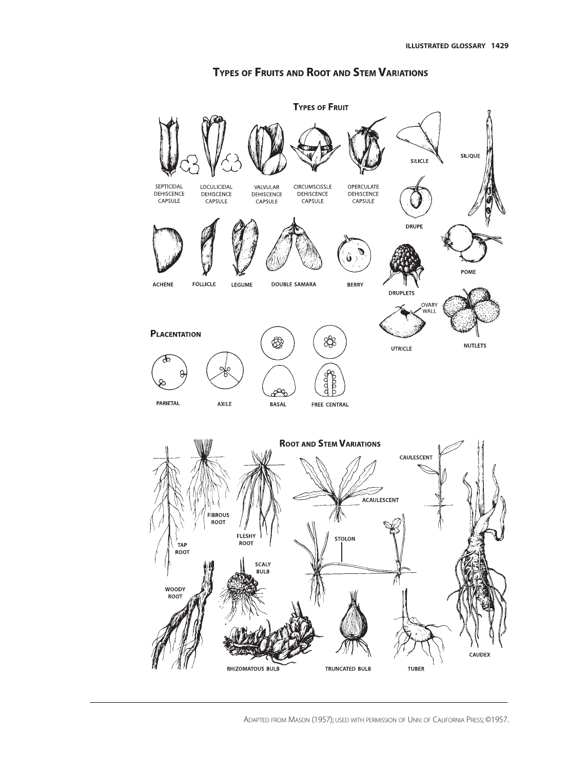## **TYPES OF FRUITS AND ROOT AND STEM VARIATIONS**



ADAPTED FROM MASON (1957); USED WITH PERMISSION OF UNIV. OF CALIFORNIA PRESS; ©1957.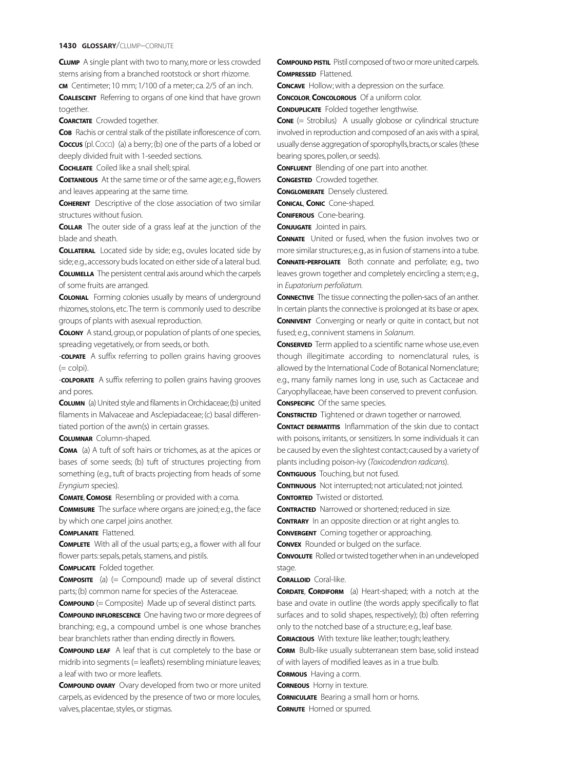**CLUMP** A single plant with two to many, more or less crowded stems arising from a branched rootstock or short rhizome.

**CM** Centimeter; 10 mm; 1/100 of a meter; ca. 2/5 of an inch. **COALESCENT** Referring to organs of one kind that have grown

together.

**COARCTATE** Crowded together.

**COB** Rachis or central stalk of the pistillate inflorescence of corn. **Coccus** (pl. Cocci) (a) a berry; (b) one of the parts of a lobed or deeply divided fruit with 1-seeded sections.

**COCHLEATE** Coiled like a snail shell: spiral.

**COETANEOUS** At the same time or of the same age; e.g., flowers and leaves appearing at the same time.

**COHERENT** Descriptive of the close association of two similar structures without fusion.

**COLLAR** The outer side of a grass leaf at the junction of the blade and sheath.

**COLLATERAL** Located side by side; e.g., ovules located side by side;e.g.,accessory buds located on either side of a lateral bud. **COLUMELLA** The persistent central axis around which the carpels of some fruits are arranged.

**COLONIAL** Forming colonies usually by means of underground rhizomes, stolons, etc.The term is commonly used to describe groups of plants with asexual reproduction.

**COLONY** A stand, group, or population of plants of one species, spreading vegetatively, or from seeds, or both.

-**COLPATE** A suffix referring to pollen grains having grooves  $(=\text{colpi}).$ 

-**COLPORATE** A suffix referring to pollen grains having grooves and pores.

**COLUMN** (a) United style and filaments in Orchidaceae;(b) united filaments in Malvaceae and Asclepiadaceae; (c) basal differentiated portion of the awn(s) in certain grasses.

**COLUMNAR** Column-shaped.

**COMA** (a) A tuft of soft hairs or trichomes, as at the apices or bases of some seeds; (b) tuft of structures projecting from something (e.g., tuft of bracts projecting from heads of some *Eryngium* species).

**COMATE**,**COMOSE** Resembling or provided with a coma. **COMMISURE** The surface where organs are joined; e.g., the face by which one carpel joins another.

**COMPLANATE** Flattened.

**COMPLETE** With all of the usual parts; e.g., a flower with all four flower parts: sepals, petals, stamens, and pistils.

**COMPLICATE** Folded together.

**COMPOSITE** (a) (= Compound) made up of several distinct parts; (b) common name for species of the Asteraceae.

**COMPOUND** (= Composite) Made up of several distinct parts. **COMPOUND INFLORESCENCE** One having two or more degrees of branching; e.g., a compound umbel is one whose branches bear branchlets rather than ending directly in flowers.

**COMPOUND LEAF** A leaf that is cut completely to the base or midrib into segments (= leaflets) resembling miniature leaves; a leaf with two or more leaflets.

**COMPOUND OVARY** Ovary developed from two or more united carpels, as evidenced by the presence of two or more locules, valves, placentae, styles, or stigmas.

**COMPOUND PISTIL** Pistil composed of two or more united carpels. **COMPRESSED** Flattened.

**CONCAVE** Hollow; with a depression on the surface.

**CONCOLOR, CONCOLOROUS** Of a uniform color.

**CONDUPLICATE** Folded together lengthwise.

**CONE** (= Strobilus) A usually globose or cylindrical structure involved in reproduction and composed of an axis with a spiral, usually dense aggregation of sporophylls,bracts,or scales (these bearing spores, pollen, or seeds).

**CONFLUENT** Blending of one part into another.

**CONGESTED** Crowded together.

**CONGLOMERATE** Densely clustered.

**CONICAL, CONIC** Cone-shaped.

**CONIFEROUS** Cone-bearing.

**CONJUGATE** Jointed in pairs.

**CONNATE** United or fused, when the fusion involves two or more similar structures;e.g.,as in fusion of stamens into a tube. **CONNATE-PERFOLIATE** Both connate and perfoliate; e.g., two leaves grown together and completely encircling a stem; e.g., in *Eupatorium perfoliatum.*

**CONNECTIVE** The tissue connecting the pollen-sacs of an anther. In certain plants the connective is prolonged at its base or apex. **CONNIVENT** Converging or nearly or quite in contact, but not fused; e.g., connivent stamens in *Solanum*.

**CONSERVED** Term applied to a scientific name whose use, even though illegitimate according to nomenclatural rules, is allowed by the International Code of Botanical Nomenclature; e.g., many family names long in use, such as Cactaceae and Caryophyllaceae, have been conserved to prevent confusion. **CONSPECIFIC** Of the same species.

**CONSTRICTED** Tightened or drawn together or narrowed. **CONTACT DERMATITIS** Inflammation of the skin due to contact with poisons, irritants, or sensitizers. In some individuals it can be caused by even the slightest contact;caused by a variety of plants including poison-ivy (*Toxicodendron radicans*). **CONTIGUOUS** Touching, but not fused.

**CONTINUOUS** Not interrupted; not articulated; not jointed. **CONTORTED** Twisted or distorted.

**CONTRACTED** Narrowed or shortened; reduced in size.

**CONTRARY** In an opposite direction or at right angles to.

**CONVERGENT** Coming together or approaching.

**CONVEX** Rounded or bulged on the surface.

**CONVOLUTE** Rolled or twisted together when in an undeveloped stage.

**CoraLLOID** Coral-like.

**CORDATE**, **CORDIFORM** (a) Heart-shaped; with a notch at the base and ovate in outline (the words apply specifically to flat surfaces and to solid shapes, respectively); (b) often referring only to the notched base of a structure; e.g., leaf base.

**CORIACEOUS** With texture like leather; tough; leathery.

**CORM** Bulb-like usually subterranean stem base, solid instead of with layers of modified leaves as in a true bulb.

**Cormous** Having a corm.

**CORNEOUS** Horny in texture.

**CORNICULATE** Bearing a small horn or horns. **CORNUTE** Horned or spurred.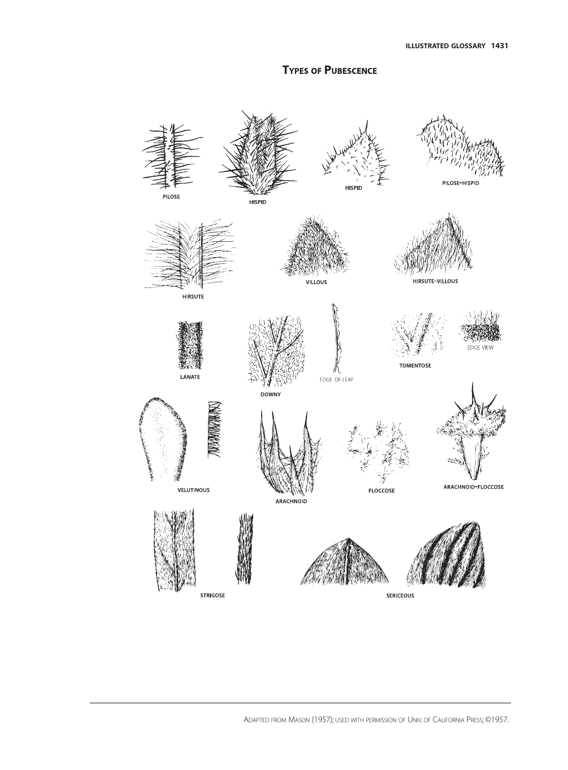## **TYPES OF PUBESCENCE**

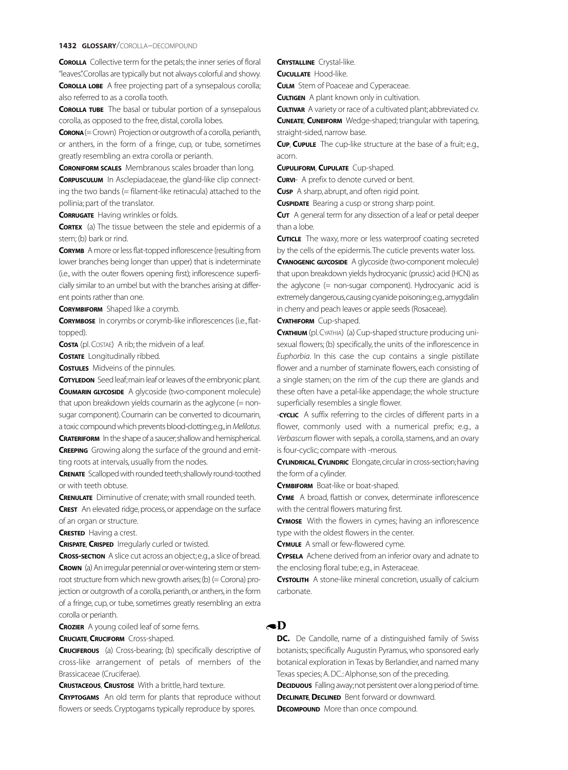#### **1432 GLOSSARY**/COROLLA–DECOMPOUND

**COROLLA** Collective term for the petals; the inner series of floral "leaves".Corollas are typically but not always colorful and showy. **COROLLA LOBE** A free projecting part of a synsepalous corolla; also referred to as a corolla tooth.

**COROLLA TUBE** The basal or tubular portion of a synsepalous corolla, as opposed to the free, distal, corolla lobes.

**CORONA**(= Crown) Projection or outgrowth of a corolla, perianth, or anthers, in the form of a fringe, cup, or tube, sometimes greatly resembling an extra corolla or perianth.

**CORONIFORM SCALES** Membranous scales broader than long. **CORPUSCULUM** In Asclepiadaceae, the gland-like clip connecting the two bands (= filament-like retinacula) attached to the pollinia; part of the translator.

**CORRUGATE** Having wrinkles or folds.

**CORTEX** (a) The tissue between the stele and epidermis of a stem; (b) bark or rind.

**CORYMB** A more or less flat-topped inflorescence (resulting from lower branches being longer than upper) that is indeterminate (i.e., with the outer flowers opening first); inflorescence superficially similar to an umbel but with the branches arising at different points rather than one.

**CORYMBIFORM** Shaped like a corymb.

**CORYMBOSE** In corymbs or corymb-like inflorescences (i.e., flattopped).

**COSTA** (pl. COSTAE) A rib; the midvein of a leaf.

**COSTATE** Longitudinally ribbed.

**COSTULES** Midveins of the pinnules.

**COTYLEDON** Seed leaf;main leaf or leaves of the embryonic plant. **COUMARIN GLYCOSIDE** A glycoside (two-component molecule) that upon breakdown yields coumarin as the aglycone (= nonsugar component). Coumarin can be converted to dicoumarin, a toxic compound which prevents blood-clotting;e.g.,in *Melilotus*.

**CRATERIFORM** In the shape of a saucer;shallow and hemispherical. **CREEPING** Growing along the surface of the ground and emitting roots at intervals, usually from the nodes.

**CRENATE** Scalloped with rounded teeth;shallowly round-toothed or with teeth obtuse.

**CRENULATE** Diminutive of crenate; with small rounded teeth. **CREST** An elevated ridge, process, or appendage on the surface of an organ or structure.

**CRESTED** Having a crest.

**CRISPATE**, **CRISPED** Irregularly curled or twisted.

**CROSS-SECTION** A slice cut across an object;e.g.,a slice of bread. **CROWN** (a) An irregular perennial or over-wintering stem or stemroot structure from which new growth arises;(b) (= Corona) projection or outgrowth of a corolla, perianth, or anthers, in the form of a fringe, cup, or tube, sometimes greatly resembling an extra corolla or perianth.

**CROZIER** A young coiled leaf of some ferns.

**CRUCIATE**,**CRUCIFORM** Cross-shaped.

**CRUCIFEROUS** (a) Cross-bearing; (b) specifically descriptive of cross-like arrangement of petals of members of the Brassicaceae (Cruciferae).

**CRUSTACEOUS**, **CRUSTOSE** With a brittle, hard texture.

**CRYPTOGAMS** An old term for plants that reproduce without flowers or seeds. Cryptogams typically reproduce by spores.

#### **CRYSTALLINE** Crystal-like.

**CUCULLATE** Hood-like.

**CULM** Stem of Poaceae and Cyperaceae.

**CULTIGEN** A plant known only in cultivation.

**CULTIVAR** A variety or race of a cultivated plant; abbreviated cv. **CUNEATE**, **CUNEIFORM** Wedge-shaped; triangular with tapering, straight-sided, narrow base.

**CUP**, **CUPULE** The cup-like structure at the base of a fruit; e.g., acorn.

**CUPULIFORM**, **CUPULATE** Cup-shaped.

**CURVI-** A prefix to denote curved or bent.

**CUSP** A sharp, abrupt, and often rigid point.

**CUSPIDATE** Bearing a cusp or strong sharp point.

**CUT** A general term for any dissection of a leaf or petal deeper than a lobe.

**CUTICLE** The waxy, more or less waterproof coating secreted by the cells of the epidermis.The cuticle prevents water loss.

**CYANOGENIC GLYCOSIDE** A glycoside (two-component molecule) that upon breakdown yields hydrocyanic (prussic) acid (HCN) as the aglycone (= non-sugar component). Hydrocyanic acid is extremely dangerous,causing cyanide poisoning;e.g.,amygdalin in cherry and peach leaves or apple seeds (Rosaceae).

#### **CYATHIFORM** Cup-shaped.

**CYATHIUM** (pl.CYATHIA) (a) Cup-shaped structure producing unisexual flowers; (b) specifically, the units of the inflorescence in *Euphorbia*. In this case the cup contains a single pistillate flower and a number of staminate flowers, each consisting of a single stamen; on the rim of the cup there are glands and these often have a petal-like appendage; the whole structure superficially resembles a single flower.

-**CYCLIC** A suffix referring to the circles of different parts in a flower, commonly used with a numerical prefix; e.g., a *Verbascum* flower with sepals, a corolla, stamens, and an ovary is four-cyclic; compare with -merous.

**CYLINDRICAL**,**CYLINDRIC** Elongate,circular in cross-section;having the form of a cylinder.

**CYMBIFORM** Boat-like or boat-shaped.

**CYME** A broad, flattish or convex, determinate inflorescence with the central flowers maturing first.

**CYMOSE** With the flowers in cymes; having an inflorescence type with the oldest flowers in the center.

**CYMULE** A small or few-flowered cyme.

**CYPSELA** Achene derived from an inferior ovary and adnate to the enclosing floral tube; e.g., in Asteraceae.

**CYSTOLITH** A stone-like mineral concretion, usually of calcium carbonate.

# D A

**DC.** De Candolle, name of a distinguished family of Swiss botanists; specifically Augustin Pyramus, who sponsored early botanical exploration in Texas by Berlandier, and named many Texas species; A. DC.: Alphonse, son of the preceding. **DECIDUOUS** Falling away; not persistent over a long period of time. **DECLINATE, DECLINED** Bent forward or downward. **DECOMPOUND** More than once compound.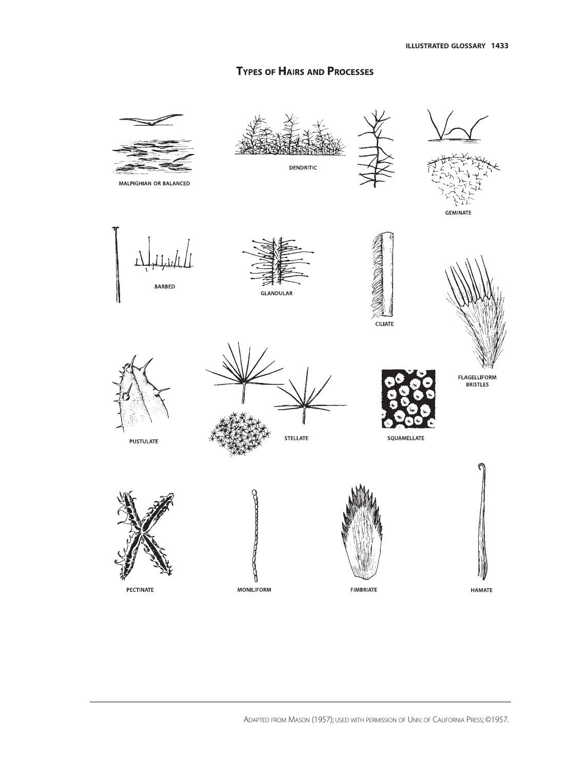## **TYPES OF HAIRS AND PROCESSES**



PECTINATE

MONILIFORM

**FIMBRIATE**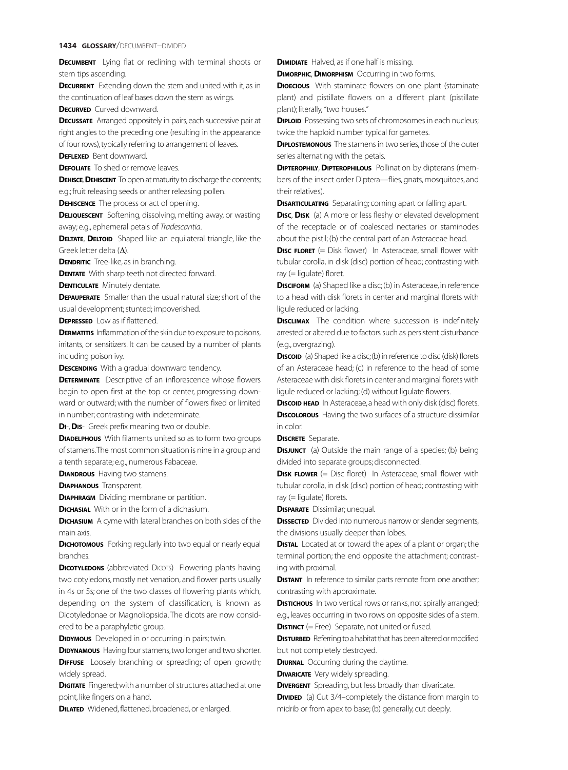**DECUMBENT** Lying flat or reclining with terminal shoots or stem tips ascending.

**DECURRENT** Extending down the stem and united with it, as in the continuation of leaf bases down the stem as wings.

**DECURVED** Curved downward.

**DECUSSATE** Arranged oppositely in pairs, each successive pair at right angles to the preceding one (resulting in the appearance of four rows), typically referring to arrangement of leaves.

**DEFLEXED** Bent downward.

**DEFOLIATE** To shed or remove leaves.

**DEHISCE, DEHISCENT** To open at maturity to discharge the contents; e.g.; fruit releasing seeds or anther releasing pollen.

**DEHISCENCE** The process or act of opening.

**DELIQUESCENT** Softening, dissolving, melting away, or wasting away; e.g., ephemeral petals of *Tradescantia*.

**DELTATE, DELTOID** Shaped like an equilateral triangle, like the Greek letter delta (∆).

**DENDRITIC** Tree-like, as in branching.

**DENTATE** With sharp teeth not directed forward.

**DENTICULATE** Minutely dentate.

**DEPAUPERATE** Smaller than the usual natural size; short of the usual development; stunted; impoverished.

**DEPRESSED** Low as if flattened.

**DERMATITIS** Inflammation of the skin due to exposure to poisons, irritants, or sensitizers. It can be caused by a number of plants including poison ivy.

**DESCENDING** With a gradual downward tendency.

**DETERMINATE** Descriptive of an inflorescence whose flowers begin to open first at the top or center, progressing downward or outward; with the number of flowers fixed or limited in number; contrasting with indeterminate.

**DI**-,**DIS**- Greek prefix meaning two or double.

**DIADELPHOUS** With filaments united so as to form two groups of stamens.The most common situation is nine in a group and a tenth separate; e.g., numerous Fabaceae.

**DIANDROUS** Having two stamens.

**DIAPHANOUS** Transparent.

**DIAPHRAGM** Dividing membrane or partition.

**DICHASIAL** With or in the form of a dichasium.

**DICHASIUM** A cyme with lateral branches on both sides of the main axis.

**DICHOTOMOUS** Forking regularly into two equal or nearly equal branches.

**DICOTYLEDONS** (abbreviated DICOTS) Flowering plants having two cotyledons, mostly net venation, and flower parts usually in 4s or 5s; one of the two classes of flowering plants which, depending on the system of classification, is known as Dicotyledonae or Magnoliopsida. The dicots are now considered to be a paraphyletic group.

**DIDYMOUS** Developed in or occurring in pairs; twin.

**DIDYNAMOUS** Having four stamens, two longer and two shorter. **DIFFUSE** Loosely branching or spreading; of open growth; widely spread.

**DIGITATE** Fingered; with a number of structures attached at one point, like fingers on a hand.

**DILATED** Widened, flattened, broadened, or enlarged.

**DIMIDIATE** Halved, as if one half is missing.

**DIMORPHIC, DIMORPHISM** Occurring in two forms.

**DIOECIOUS** With staminate flowers on one plant (staminate plant) and pistillate flowers on a different plant (pistillate plant); literally, "two houses."

**DIPLOID** Possessing two sets of chromosomes in each nucleus; twice the haploid number typical for gametes.

**DIPLOSTEMONOUS** The stamens in two series, those of the outer series alternating with the petals.

**DIPTEROPHILY**,**DIPTEROPHILOUS** Pollination by dipterans (members of the insect order Diptera—flies, gnats, mosquitoes, and their relatives).

**DISARTICULATING** Separating; coming apart or falling apart.

**DISC, DISK** (a) A more or less fleshy or elevated development of the receptacle or of coalesced nectaries or staminodes about the pistil; (b) the central part of an Asteraceae head.

**DISC FLORET** (= Disk flower) In Asteraceae, small flower with tubular corolla, in disk (disc) portion of head; contrasting with ray (= ligulate) floret.

**DISCIFORM** (a) Shaped like a disc; (b) in Asteraceae, in reference to a head with disk florets in center and marginal florets with ligule reduced or lacking.

**DISCLIMAX** The condition where succession is indefinitely arrested or altered due to factors such as persistent disturbance (e.g., overgrazing).

**DISCOID** (a) Shaped like a disc; (b) in reference to disc (disk) florets of an Asteraceae head; (c) in reference to the head of some Asteraceae with disk florets in center and marginal florets with ligule reduced or lacking; (d) without ligulate flowers.

**DISCOID HEAD** In Asteraceae, a head with only disk (disc) florets. **DISCOLOROUS** Having the two surfaces of a structure dissimilar in color.

**DISCRETE** Separate.

**DISJUNCT** (a) Outside the main range of a species; (b) being divided into separate groups; disconnected.

**DISK FLOWER** (= Disc floret) In Asteraceae, small flower with tubular corolla, in disk (disc) portion of head; contrasting with ray (= ligulate) florets.

**DISPARATE** Dissimilar; unequal.

**DISSECTED** Divided into numerous narrow or slender segments, the divisions usually deeper than lobes.

**DISTAL** Located at or toward the apex of a plant or organ; the terminal portion; the end opposite the attachment; contrasting with proximal.

**DISTANT** In reference to similar parts remote from one another; contrasting with approximate.

**DISTICHOUS** In two vertical rows or ranks, not spirally arranged; e.g., leaves occurring in two rows on opposite sides of a stem. **DISTINCT** (= Free) Separate, not united or fused.

**DISTURBED** Referring to a habitat that has been altered or modified but not completely destroyed.

**DIURNAL** Occurring during the daytime.

**DIVARICATE** Very widely spreading.

**DIVERGENT** Spreading, but less broadly than divaricate.

**DIVIDED** (a) Cut 3/4-completely the distance from margin to midrib or from apex to base; (b) generally, cut deeply.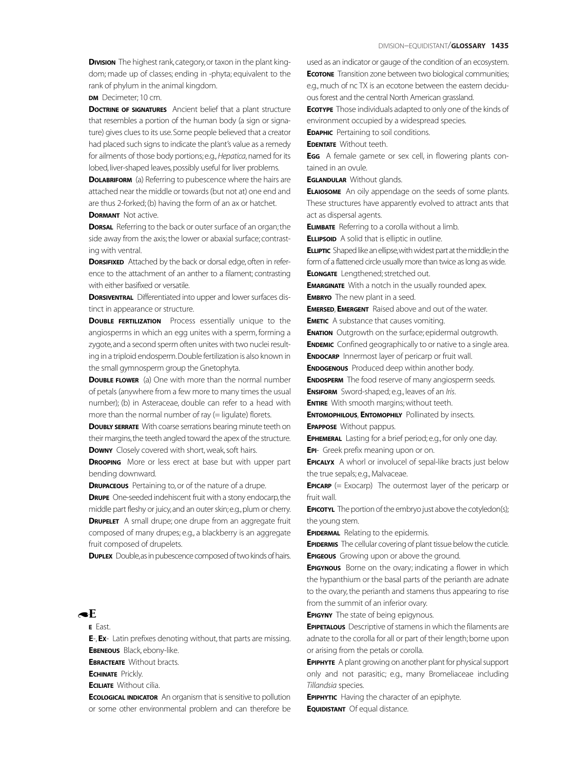**DIVISION** The highest rank, category, or taxon in the plant kingdom; made up of classes; ending in -phyta; equivalent to the rank of phylum in the animal kingdom.

**DM** Decimeter; 10 cm.

**DOCTRINE OF SIGNATURES** Ancient belief that a plant structure that resembles a portion of the human body (a sign or signature) gives clues to its use.Some people believed that a creator had placed such signs to indicate the plant's value as a remedy for ailments of those body portions; e.g.,*Hepatica*, named for its lobed, liver-shaped leaves, possibly useful for liver problems.

**DOLABRIFORM** (a) Referring to pubescence where the hairs are attached near the middle or towards (but not at) one end and are thus 2-forked; (b) having the form of an ax or hatchet.

#### **DORMANT** Not active.

**DORSAL** Referring to the back or outer surface of an organ; the side away from the axis; the lower or abaxial surface; contrasting with ventral.

**DORSIFIXED** Attached by the back or dorsal edge, often in reference to the attachment of an anther to a filament; contrasting with either basifixed or versatile.

**DORSIVENTRAL** Differentiated into upper and lower surfaces distinct in appearance or structure.

**DOUBLE FERTILIZATION** Process essentially unique to the angiosperms in which an egg unites with a sperm, forming a zygote,and a second sperm often unites with two nuclei resulting in a triploid endosperm.Double fertilization is also known in the small gymnosperm group the Gnetophyta.

**DOUBLE FLOWER** (a) One with more than the normal number of petals (anywhere from a few more to many times the usual number); (b) in Asteraceae, double can refer to a head with more than the normal number of ray (= ligulate) florets.

**DOUBLY SERRATE** With coarse serrations bearing minute teeth on their margins, the teeth angled toward the apex of the structure. **Downy** Closely covered with short, weak, soft hairs.

**DROOPING** More or less erect at base but with upper part bending downward.

**DRUPACEOUS** Pertaining to, or of the nature of a drupe.

**DRUPE** One-seeded indehiscent fruit with a stony endocarp, the middle part fleshy or juicy,and an outer skin;e.g.,plum or cherry. **DRUPELET** A small drupe; one drupe from an aggregate fruit composed of many drupes; e.g., a blackberry is an aggregate fruit composed of drupelets.

**DUPLEX** Double,as in pubescence composed of two kinds of hairs.

# $\triangleleft E$

**E** East.

**E**-,**EX**- Latin prefixes denoting without, that parts are missing. **EBENEOUS** Black, ebony-like.

**EBRACTEATE** Without bracts.

**ECHINATE** Prickly.

**ECILIATE** Without cilia.

**ECOLOGICAL INDICATOR** An organism that is sensitive to pollution or some other environmental problem and can therefore be used as an indicator or gauge of the condition of an ecosystem. **ECOTONE** Transition zone between two biological communities; e.g., much of nc TX is an ecotone between the eastern deciduous forest and the central North American grassland.

**ECOTYPE** Those individuals adapted to only one of the kinds of environment occupied by a widespread species.

**EDAPHIC** Pertaining to soil conditions.

**EDENTATE** Without teeth.

**EGG** A female gamete or sex cell, in flowering plants contained in an ovule.

**EGLANDULAR** Without glands.

**ELAIOSOME** An oily appendage on the seeds of some plants. These structures have apparently evolved to attract ants that act as dispersal agents.

**ELIMBATE** Referring to a corolla without a limb.

**ELLIPSOID** A solid that is elliptic in outline.

**ELLIPTIC** Shaped like an ellipse, with widest part at the middle; in the form of a flattened circle usually more than twice as long as wide. **ELONGATE** Lengthened; stretched out.

**EMARGINATE** With a notch in the usually rounded apex. **EMBRYO** The new plant in a seed.

**EMERSED. EMERGENT** Raised above and out of the water. **EMETIC** A substance that causes vomiting.

**ENATION** Outgrowth on the surface; epidermal outgrowth.

**ENDEMIC** Confined geographically to or native to a single area.

**ENDOCARP** Innermost layer of pericarp or fruit wall.

**ENDOGENOUS** Produced deep within another body.

**ENDOSPERM** The food reserve of many angiosperm seeds.

**ENSIFORM** Sword-shaped; e.g., leaves of an *Iris*.

**ENTIRE** With smooth margins; without teeth.

**ENTOMOPHILOUS, ENTOMOPHILY** Pollinated by insects.

**EPAPPOSE** Without pappus.

**EPHEMERAL** Lasting for a brief period; e.g., for only one day. **EPI**- Greek prefix meaning upon or on.

**EPICALYX** A whorl or involucel of sepal-like bracts just below the true sepals; e.g., Malvaceae.

**EPICARP** (= Exocarp) The outermost layer of the pericarp or fruit wall.

**EPICOTYL** The portion of the embryo just above the cotyledon(s); the young stem.

**EPIDERMAL** Relating to the epidermis.

**EPIDERMIS** The cellular covering of plant tissue below the cuticle. **EPIGEOUS** Growing upon or above the ground.

**EPIGYNOUS** Borne on the ovary; indicating a flower in which the hypanthium or the basal parts of the perianth are adnate to the ovary, the perianth and stamens thus appearing to rise from the summit of an inferior ovary.

**EPIGYNY** The state of being epigynous.

**EPIPETALOUS** Descriptive of stamens in which the filaments are adnate to the corolla for all or part of their length; borne upon or arising from the petals or corolla.

**EPIPHYTE** A plant growing on another plant for physical support only and not parasitic; e.g., many Bromeliaceae including *Tillandsia* species.

**EPIPHYTIC** Having the character of an epiphyte.

**EQUIDISTANT** Of equal distance.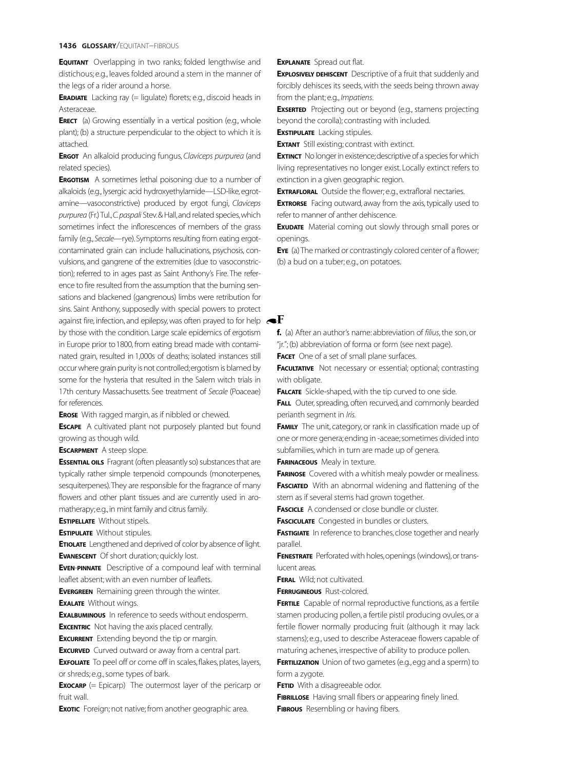#### **1436 GLOSSARY**/EQUITANT–FIBROUS

**EQUITANT** Overlapping in two ranks; folded lengthwise and distichous; e.g., leaves folded around a stem in the manner of the legs of a rider around a horse.

**ERADIATE** Lacking ray (= ligulate) florets; e.g., discoid heads in Asteraceae.

**ERECT** (a) Growing essentially in a vertical position (e.g., whole plant); (b) a structure perpendicular to the object to which it is attached.

**ERGOT** An alkaloid producing fungus, *Claviceps purpurea* (and related species).

**ERGOTISM** A sometimes lethal poisoning due to a number of alkaloids (e.g., lysergic acid hydroxyethylamide—LSD-like, egrotamine—vasoconstrictive) produced by ergot fungi, *Claviceps purpurea* (Fr.) Tul.,*C.paspali* Stev.& Hall,and related species,which sometimes infect the inflorescences of members of the grass family (e.g.,*Secale*—rye).Symptoms resulting from eating ergotcontaminated grain can include hallucinations, psychosis, convulsions, and gangrene of the extremities (due to vasoconstriction); referred to in ages past as Saint Anthony's Fire. The reference to fire resulted from the assumption that the burning sensations and blackened (gangrenous) limbs were retribution for sins. Saint Anthony, supposedly with special powers to protect against fire, infection, and epilepsy, was often prayed to for help  $\ll F$ by those with the condition. Large scale epidemics of ergotism in Europe prior to1800, from eating bread made with contaminated grain, resulted in 1,000s of deaths; isolated instances still occur where grain purity is not controlled;ergotism is blamed by some for the hysteria that resulted in the Salem witch trials in 17th century Massachusetts. See treatment of *Secale* (Poaceae) for references.

**EROSE** With ragged margin, as if nibbled or chewed.

**ESCAPE** A cultivated plant not purposely planted but found growing as though wild.

**EscarPMENT** A steep slope.

**ESSENTIAL OILS** Fragrant (often pleasantly so) substances that are typically rather simple terpenoid compounds (monoterpenes, sesquiterpenes).They are responsible for the fragrance of many flowers and other plant tissues and are currently used in aromatherapy;e.g.,in mint family and citrus family.

**ESTIPELLATE** Without stipels.

**Estipulate** Without stipules.

**ETIOLATE** Lengthened and deprived of color by absence of light. **EVANESCENT** Of short duration; quickly lost.

**EVEN**-**PINNATE** Descriptive of a compound leaf with terminal leaflet absent; with an even number of leaflets.

**EVERGREEN** Remaining green through the winter.

**EXALATE** Without wings.

**Exalbuminous** In reference to seeds without endosperm.

**Excentric** Not having the axis placed centrally.

**Excurrent** Extending beyond the tip or margin.

**ExcurvED** Curved outward or away from a central part.

**EXFOLIATE** To peel off or come off in scales, flakes, plates, layers, or shreds; e.g., some types of bark.

**Exocarp** (= Epicarp) The outermost layer of the pericarp or fruit wall.

**EXOTIC** Foreign; not native; from another geographic area.

#### **EXPLANATE** Spread out flat.

**EXPLOSIVELY DEHISCENT** Descriptive of a fruit that suddenly and forcibly dehisces its seeds, with the seeds being thrown away from the plant; e.g., *Impatiens*.

**EXSERTED** Projecting out or beyond (e.g., stamens projecting beyond the corolla); contrasting with included.

**Exstipulate** Lacking stipules.

**EXTANT** Still existing; contrast with extinct.

**EXTINCT** No longer in existence; descriptive of a species for which living representatives no longer exist. Locally extinct refers to extinction in a given geographic region.

**EXTRAFLORAL** Outside the flower; e.g., extrafloral nectaries.

**EXTRORSE** Facing outward, away from the axis, typically used to refer to manner of anther dehiscence.

**EXUDATE** Material coming out slowly through small pores or openings.

**EYE** (a) The marked or contrastingly colored center of a flower; (b) a bud on a tuber; e.g., on potatoes.

**f.** (a) After an author's name: abbreviation of *filius*, the son, or "jr."; (b) abbreviation of forma or form (see next page).

**FACET** One of a set of small plane surfaces.

**FACULTATIVE** Not necessary or essential; optional; contrasting with obligate.

**FALCATE** Sickle-shaped, with the tip curved to one side.

**FALL** Outer, spreading, often recurved, and commonly bearded perianth segment in *Iris.*

**FAMILY** The unit, category, or rank in classification made up of one or more genera;ending in -aceae;sometimes divided into subfamilies, which in turn are made up of genera.

**FARINACEOUS** Mealy in texture.

**FARINOSE** Covered with a whitish mealy powder or mealiness. **FASCIATED** With an abnormal widening and flattening of the stem as if several stems had grown together.

**FASCICLE** A condensed or close bundle or cluster.

**FASCICULATE** Congested in bundles or clusters.

**FASTIGIATE** In reference to branches, close together and nearly parallel.

**FENESTRATE** Perforated with holes, openings (windows), or translucent areas.

**FERAL** Wild; not cultivated.

**FERRUGINEOUS** Rust-colored.

**FERTILE** Capable of normal reproductive functions, as a fertile stamen producing pollen, a fertile pistil producing ovules, or a fertile flower normally producing fruit (although it may lack stamens); e.g., used to describe Asteraceae flowers capable of maturing achenes, irrespective of ability to produce pollen.

**FERTILIZATION** Union of two gametes (e.g., egg and a sperm) to form a zygote.

**FETID** With a disagreeable odor.

**FIBRILLOSE** Having small fibers or appearing finely lined. **FIBROUS** Resembling or having fibers.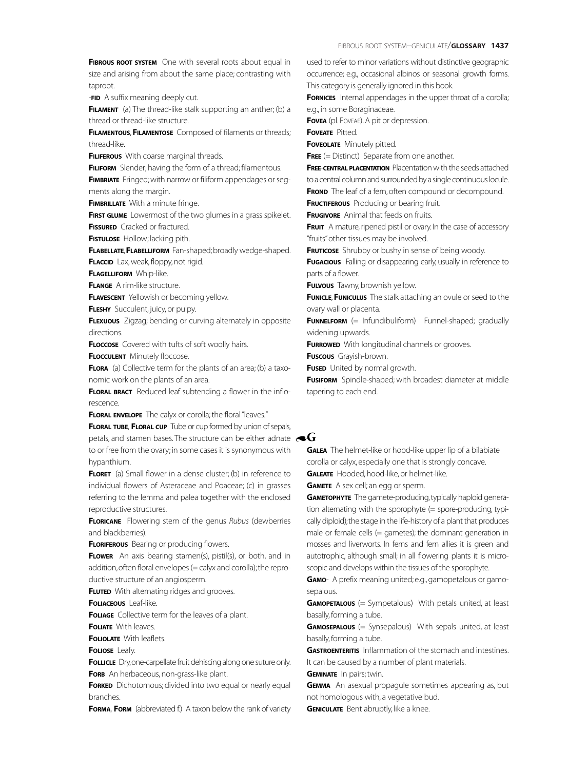**FIBROUS ROOT SYSTEM** One with several roots about equal in size and arising from about the same place; contrasting with taproot.

-**FID** A suffix meaning deeply cut.

**FILAMENT** (a) The thread-like stalk supporting an anther; (b) a thread or thread-like structure.

**FILAMENTOUS**, **FILAMENTOSE** Composed of filaments or threads; thread-like.

**FILIFEROUS** With coarse marginal threads.

**FILIFORM** Slender; having the form of a thread; filamentous. **FIMBRIATE** Fringed; with narrow or filiform appendages or segments along the margin.

**FIMBRILLATE** With a minute fringe.

**FIRST GLUME** Lowermost of the two glumes in a grass spikelet. **FISSURED** Cracked or fractured.

**FISTULOSE** Hollow; lacking pith.

**FLABELLATE**,**FLABELLIFORM** Fan-shaped;broadly wedge-shaped. **FLACCID** Lax, weak, floppy, not rigid.

**FLAGELLIFORM** Whip-like.

**FLANGE** A rim-like structure.

**FLAVESCENT** Yellowish or becoming yellow.

**FLESHY** Succulent, juicy, or pulpy.

**FLEXUOUS** Zigzag; bending or curving alternately in opposite directions.

**FLOCCOSE** Covered with tufts of soft woolly hairs.

**FLOCCULENT** Minutely floccose.

FLORA (a) Collective term for the plants of an area; (b) a taxonomic work on the plants of an area.

**FLORAL BRACT** Reduced leaf subtending a flower in the inflorescence.

**FLORAL ENVELOPE** The calyx or corolla; the floral "leaves."

**FLORAL TUBE**, **FLORAL CUP** Tube or cup formed by union of sepals,  $P_{\text{total}}$  and stamen bases. The structure can be either adnate  $\bigodot$ to or free from the ovary; in some cases it is synonymous with hypanthium.

**FLORET** (a) Small flower in a dense cluster; (b) in reference to individual flowers of Asteraceae and Poaceae; (c) in grasses referring to the lemma and palea together with the enclosed reproductive structures.

**FLORICANE** Flowering stem of the genus *Rubus* (dewberries and blackberries).

**FLORIFEROUS** Bearing or producing flowers.

**FLOWER** An axis bearing stamen(s), pistil(s), or both, and in addition, often floral envelopes (= calyx and corolla); the reproductive structure of an angiosperm.

**FLUTED** With alternating ridges and grooves.

**FOLIACEOUS** Leaf-like.

**FOLIAGE** Collective term for the leaves of a plant.

**FOLIATE** With leaves.

**FOLIOLATE** With leaflets.

**FOLIOSE** Leafy.

**FOLLICLE** Dry, one-carpellate fruit dehiscing along one suture only. **FORB** An herbaceous, non-grass-like plant.

**FORKED** Dichotomous; divided into two equal or nearly equal branches.

**FORMA**, **FORM** (abbreviated f.) A taxon below the rank of variety

used to refer to minor variations without distinctive geographic occurrence; e.g., occasional albinos or seasonal growth forms. This category is generally ignored in this book.

**FORNICES** Internal appendages in the upper throat of a corolla; e.g., in some Boraginaceae.

**FOVEA** (pl. FOVEAE). A pit or depression.

**FovEATE** Pitted.

**FovEOLATE** Minutely pitted.

**FREE** (= Distinct) Separate from one another.

**FREE**-**CENTRAL PLACENTATION** Placentation with the seeds attached toa central column and surrounded by a single continuous locule. **FROND** The leaf of a fern, often compound or decompound.

**FRUCTIFEROUS** Producing or bearing fruit. **FRUGIVORE** Animal that feeds on fruits.

**FRUIT** A mature, ripened pistil or ovary. In the case of accessory "fruits"other tissues may be involved.

**FRUTICOSE** Shrubby or bushy in sense of being woody.

**FUGACIOUS** Falling or disappearing early, usually in reference to parts of a flower.

**FULVOUS** Tawny, brownish yellow.

**FUNICLE**,**FUNICULUS** The stalk attaching an ovule or seed to the ovary wall or placenta.

**FUNNELFORM** (= Infundibuliform) Funnel-shaped; gradually widening upwards.

**FURROWED** With longitudinal channels or grooves.

**FUSCOUS** Grayish-brown.

**Fused** United by normal growth.

**FUSIFORM** Spindle-shaped; with broadest diameter at middle tapering to each end.

**GALEA** The helmet-like or hood-like upper lip of a bilabiate corolla or calyx, especially one that is strongly concave. **GALEATE** Hooded, hood-like, or helmet-like.

**GAMETE** A sex cell; an egg or sperm.

**GAMETOPHYTE** The gamete-producing, typically haploid generation alternating with the sporophyte (= spore-producing, typically diploid); the stage in the life-history of a plant that produces male or female cells  $(=$  gametes); the dominant generation in mosses and liverworts. In ferns and fern allies it is green and autotrophic, although small; in all flowering plants it is microscopic and develops within the tissues of the sporophyte.

**GAMO**- A prefix meaning united; e.g., gamopetalous or gamosepalous.

**GAMOPETALOUS** (= Sympetalous) With petals united, at least basally, forming a tube.

**GAMOSEPALOUS** (= Synsepalous) With sepals united, at least basally, forming a tube.

**GASTROENTERITIS** Inflammation of the stomach and intestines. It can be caused by a number of plant materials.

**GEMINATE** In pairs; twin.

**GEMMA** An asexual propagule sometimes appearing as, but not homologous with, a vegetative bud.

**GENICULATE** Bent abruptly, like a knee.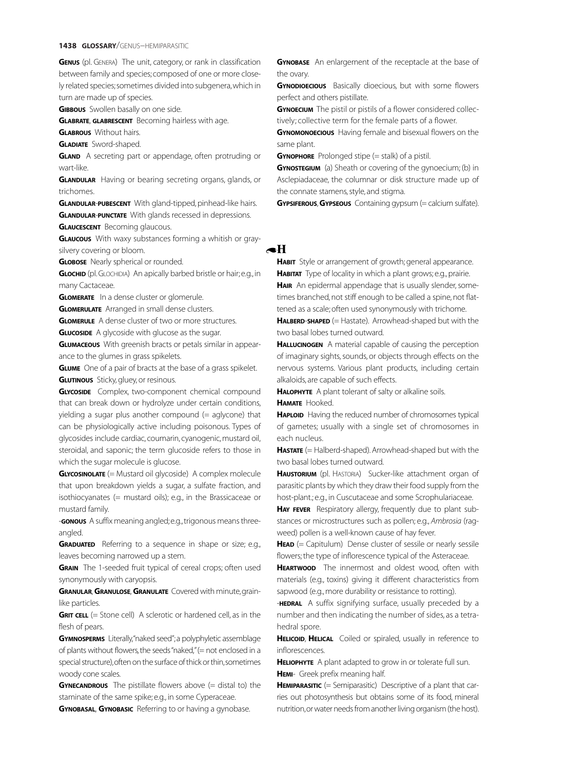**GENUS** (pl. GENERA) The unit, category, or rank in classification between family and species; composed of one or more closely related species;sometimes divided into subgenera,which in turn are made up of species.

**GIBBOUS** Swollen basally on one side.

**GLABRATE, GLABRESCENT** Becoming hairless with age.

**GLABROUS** Without hairs.

**GLADIATE** Sword-shaped.

**GLAND** A secreting part or appendage, often protruding or wart-like.

**GLANDULAR** Having or bearing secreting organs, glands, or trichomes.

**GLANDULAR**-**PUBESCENT** With gland-tipped, pinhead-like hairs. **GLANDULAR**-**PUNCTATE** With glands recessed in depressions.

**GLAUCESCENT** Becoming glaucous.

**GLAUCOUS** With waxy substances forming a whitish or graysilvery covering or bloom.

**GLOBOSE** Nearly spherical or rounded.

**GLOCHID** (pl. GLOCHIDIA) An apically barbed bristle or hair; e.g., in many Cactaceae.

**GLOMERATE** In a dense cluster or glomerule.

**GLOMERULATE** Arranged in small dense clusters.

**GLOMERULE** A dense cluster of two or more structures.

**GLUCOSIDE** A glycoside with glucose as the sugar.

**GLUMACEOUS** With greenish bracts or petals similar in appearance to the glumes in grass spikelets.

**GLUME** One of a pair of bracts at the base of a grass spikelet. **GLUTINOUS** Sticky, gluey, or resinous.

**GLYCOSIDE** Complex, two-component chemical compound that can break down or hydrolyze under certain conditions, yielding a sugar plus another compound (= aglycone) that can be physiologically active including poisonous. Types of glycosides include cardiac, coumarin, cyanogenic, mustard oil, steroidal, and saponic; the term glucoside refers to those in which the sugar molecule is glucose.

**GLYCOSINOLATE** (= Mustard oil glycoside) A complex molecule that upon breakdown yields a sugar, a sulfate fraction, and isothiocyanates (= mustard oils); e.g., in the Brassicaceae or mustard family.

-**GONOUS** A suffix meaning angled;e.g.,trigonous means threeangled.

**GRADUATED** Referring to a sequence in shape or size; e.g., leaves becoming narrowed up a stem.

**GRAIN** The 1-seeded fruit typical of cereal crops; often used synonymously with caryopsis.

**GRANULAR**,**GRANULOSE**,**GRANULATE** Covered with minute,grainlike particles.

**GRIT CELL** (= Stone cell) A sclerotic or hardened cell, as in the flesh of pears.

**GYMNOSPERMS** Literally, "naked seed"; a polyphyletic assemblage of plants without flowers,the seeds "naked,"(= not enclosed in a special structure),often on the surface of thick or thin,sometimes woody cone scales.

**GYNECANDROUS** The pistillate flowers above (= distal to) the staminate of the same spike; e.g., in some Cyperaceae.

**GYNOBASAL**, **GYNOBASIC** Referring to or having a gynobase.

**GYNOBASE** An enlargement of the receptacle at the base of the ovary.

**GYNODIOECIOUS** Basically dioecious, but with some flowers perfect and others pistillate.

**GYNOECIUM** The pistil or pistils of a flower considered collectively; collective term for the female parts of a flower.

**GYNOMONOECIOUS** Having female and bisexual flowers on the same plant.

**GYNOPHORE** Prolonged stipe (= stalk) of a pistil.

**GYNOSTEGIUM** (a) Sheath or covering of the gynoecium; (b) in Asclepiadaceae, the columnar or disk structure made up of the connate stamens, style, and stigma.

**GYPSIFEROUS, GYPSEOUS** Containing gypsum (= calcium sulfate).

## H A

**HABIT** Style or arrangement of growth; general appearance. **HABITAT** Type of locality in which a plant grows; e.g., prairie. **HAIR** An epidermal appendage that is usually slender, sometimes branched, not stiff enough to be called a spine, not flat-

tened as a scale; often used synonymously with trichome. **HALBERD**-**SHAPED** (= Hastate). Arrowhead-shaped but with the two basal lobes turned outward.

**HALLUCINOGEN** A material capable of causing the perception of imaginary sights, sounds, or objects through effects on the nervous systems. Various plant products, including certain alkaloids, are capable of such effects.

**HALOPHYTE** A plant tolerant of salty or alkaline soils. **HAMATE** Hooked.

**HAPLOID** Having the reduced number of chromosomes typical of gametes; usually with a single set of chromosomes in each nucleus.

**HASTATE** (= Halberd-shaped). Arrowhead-shaped but with the two basal lobes turned outward.

**HAUSTORIUM** (pl. HASTORIA) Sucker-like attachment organ of parasitic plants by which they draw their food supply from the host-plant.; e.g., in Cuscutaceae and some Scrophulariaceae.

**HAY FEVER** Respiratory allergy, frequently due to plant substances or microstructures such as pollen; e.g., *Ambrosia* (ragweed) pollen is a well-known cause of hay fever.

**HEAD** (= Capitulum) Dense cluster of sessile or nearly sessile flowers; the type of inflorescence typical of the Asteraceae.

**HEARTWOOD** The innermost and oldest wood, often with materials (e.g., toxins) giving it different characteristics from sapwood (e.g., more durability or resistance to rotting).

-**HEDRAL** A suffix signifying surface, usually preceded by a number and then indicating the number of sides, as a tetrahedral spore.

**HELICOID**, **HELICAL** Coiled or spiraled, usually in reference to inflorescences.

**HELIOPHYTE** A plant adapted to grow in or tolerate full sun. **HEMI**- Greek prefix meaning half.

**HEMIPARASITIC** (= Semiparasitic) Descriptive of a plant that carries out photosynthesis but obtains some of its food, mineral nutrition,or water needs from another living organism (the host).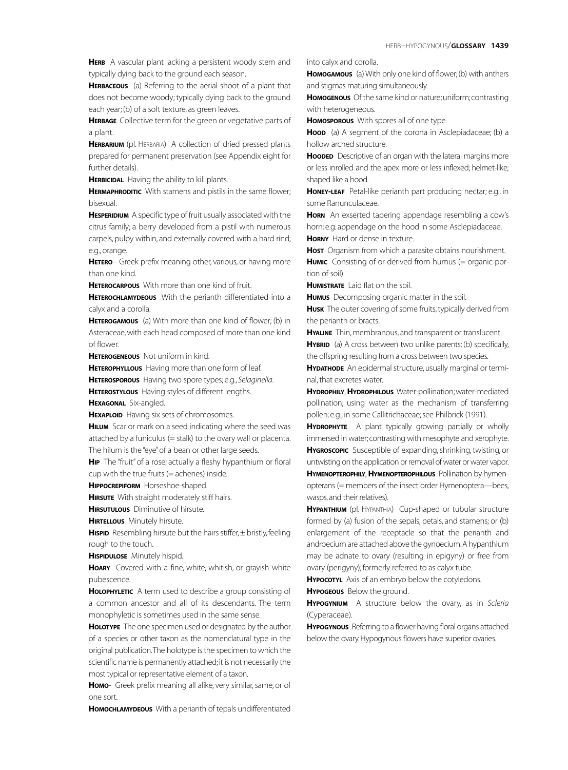**HERB** A vascular plant lacking a persistent woody stem and typically dying back to the ground each season.

**HERBACEOUS** (a) Referring to the aerial shoot of a plant that does not become woody; typically dying back to the ground each year; (b) of a soft texture, as green leaves.

**HERBAGE** Collective term for the green or vegetative parts of a plant.

**HERBARIUM** (pl. HERBARIA) A collection of dried pressed plants prepared for permanent preservation (see Appendix eight for further details).

**HERBICIDAL** Having the ability to kill plants.

**HERMAPHRODITIC** With stamens and pistils in the same flower; bisexual.

**HESPERIDIUM** A specific type of fruit usually associated with the citrus family; a berry developed from a pistil with numerous carpels, pulpy within, and externally covered with a hard rind; e.g., orange.

**HETERO**- Greek prefix meaning other, various, or having more than one kind.

**HETEROCARPOUS** With more than one kind of fruit.

**HETEROCHLAMYDEOUS** With the perianth differentiated into a calyx and a corolla.

**HETEROGAMOUS** (a) With more than one kind of flower; (b) in Asteraceae, with each head composed of more than one kind of flower.

**HETEROGENEOUS** Not uniform in kind.

**HETEROPHYLLOUS** Having more than one form of leaf.

**HETEROSPOROUS** Having two spore types; e.g., *Selaginella*.

**HETEROSTYLOUS** Having styles of different lengths. **HEXAGONAL** Six-angled.

**HEXAPLOID** Having six sets of chromosomes.

**HILUM** Scar or mark on a seed indicating where the seed was attached by a funiculus (= stalk) to the ovary wall or placenta. The hilum is the "eye" of a bean or other large seeds.

**HIP** The "fruit" of a rose; actually a fleshy hypanthium or floral cup with the true fruits (= achenes) inside.

**HIPPOCREPIFORM** Horseshoe-shaped.

**HIRSUTE** With straight moderately stiff hairs.

**HIRSUTULOUS** Diminutive of hirsute.

**HIRTELLOUS** Minutely hirsute.

**HISPID** Resembling hirsute but the hairs stiffer, ± bristly, feeling rough to the touch.

**HISPIDULOSE** Minutely hispid.

**HOARY** Covered with a fine, white, whitish, or grayish white pubescence.

**HOLOPHYLETIC** A term used to describe a group consisting of a common ancestor and all of its descendants. The term monophyletic is sometimes used in the same sense.

**HOLOTYPE** The one specimen used or designated by the author of a species or other taxon as the nomenclatural type in the original publication.The holotype is the specimen to which the scientific name is permanently attached; it is not necessarily the most typical or representative element of a taxon.

**HOMO**- Greek prefix meaning all alike, very similar, same, or of one sort.

**HOMOCHLAMYDEOUS** With a perianth of tepals undifferentiated

into calyx and corolla.

**Homogamous** (a) With only one kind of flower; (b) with anthers and stigmas maturing simultaneously.

**HOMOGENOUS** Of the same kind or nature;uniform;contrasting with heterogeneous.

**HOMOSPOROUS** With spores all of one type.

**Hoop** (a) A segment of the corona in Asclepiadaceae; (b) a hollow arched structure.

**Hooded** Descriptive of an organ with the lateral margins more or less inrolled and the apex more or less inflexed; helmet-like; shaped like a hood.

**HONEY-LEAF** Petal-like perianth part producing nectar; e.g., in some Ranunculaceae.

**Horn** An exserted tapering appendage resembling a cow's horn; e.g. appendage on the hood in some Asclepiadaceae. **HORNY** Hard or dense in texture.

**Host** Organism from which a parasite obtains nourishment. **HUMIC** Consisting of or derived from humus (= organic por-

tion of soil).

**HUMISTRATE** Laid flat on the soil.

**HUMUS** Decomposing organic matter in the soil.

**HUSK** The outer covering of some fruits, typically derived from the perianth or bracts.

**HYALINE** Thin, membranous, and transparent or translucent.

**HYBRID** (a) A cross between two unlike parents; (b) specifically, the offspring resulting from a cross between two species.

**HYDATHODE** An epidermal structure, usually marginal or terminal, that excretes water.

**HYDROPHILY**,**HYDROPHILOUS** Water-pollination;water-mediated pollination; using water as the mechanism of transferring pollen; e.g., in some Callitrichaceae; see Philbrick (1991).

**HYDROPHYTE** A plant typically growing partially or wholly immersed in water;contrasting with mesophyte and xerophyte. **HYGROSCOPIC** Susceptible of expanding, shrinking, twisting, or untwisting on the application or removal of water or water vapor. **HYMENOPTEROPHILY**,**HYMENOPTEROPHILOUS** Pollination by hymenopterans (= members of the insect order Hymenoptera—bees, wasps,and their relatives).

**HYPANTHIUM** (pl. HYPANTHIA) Cup-shaped or tubular structure formed by (a) fusion of the sepals, petals, and stamens; or (b) enlargement of the receptacle so that the perianth and androecium are attached above the gynoecium.A hypanthium may be adnate to ovary (resulting in epigyny) or free from ovary (perigyny); formerly referred to as calyx tube.

**HYPOCOTYL** Axis of an embryo below the cotyledons.

**HYPOGEOUS** Below the ground.

**HYPOGYNIUM** A structure below the ovary, as in *Scleria* (Cyperaceae).

**HYPOGYNOUS** Referring to a flower having floral organs attached below the ovary.Hypogynous flowers have superior ovaries.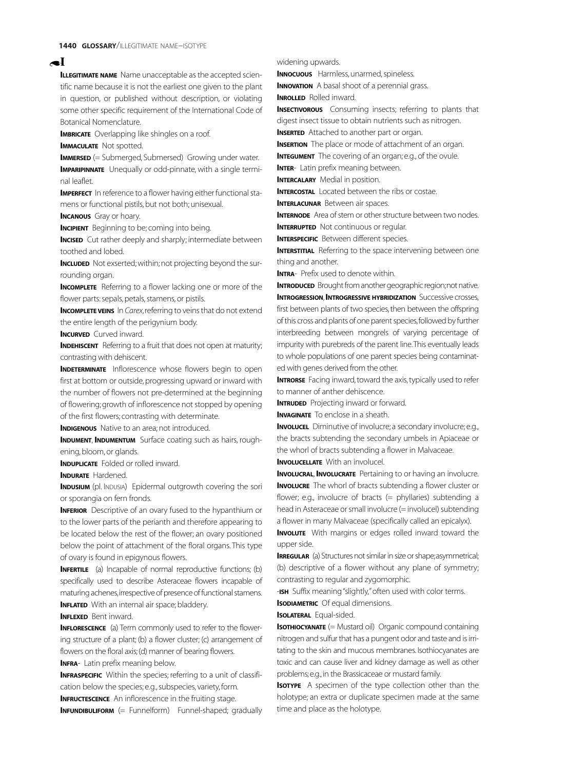# I A

**ILLEGITIMATE NAME** Name unacceptable as the accepted scientific name because it is not the earliest one given to the plant in question, or published without description, or violating some other specific requirement of the International Code of Botanical Nomenclature.

**IMBRICATE** Overlapping like shingles on a roof. **IMMACULATE** Not spotted.

**IMMERSED** (= Submerged, Submersed) Growing under water.

**IMPARIPINNATE** Unequally or odd-pinnate, with a single terminal leaflet.

**IMPERFECT** In reference to a flower having either functional stamens or functional pistils, but not both; unisexual.

**INCANOUS** Gray or hoary.

**INCIPIENT** Beginning to be; coming into being.

**INCISED** Cut rather deeply and sharply; intermediate between toothed and lobed.

**INCLUDED** Not exserted; within; not projecting beyond the surrounding organ.

**INCOMPLETE** Referring to a flower lacking one or more of the flower parts: sepals, petals, stamens, or pistils.

**INCOMPLETE VEINS** In *Carex*, referring to veins that do not extend the entire length of the perigynium body.

**INCURVED** Curved inward.

**INDEHISCENT** Referring to a fruit that does not open at maturity; contrasting with dehiscent.

**INDETERMINATE** Inflorescence whose flowers begin to open first at bottom or outside, progressing upward or inward with the number of flowers not pre-determined at the beginning of flowering;growth of inflorescence not stopped by opening of the first flowers; contrasting with determinate.

**INDIGENOUS** Native to an area; not introduced.

**INDUMENT, INDUMENTUM** Surface coating such as hairs, roughening, bloom, or glands.

**INDUPLICATE** Folded or rolled inward.

**INDURATE** Hardened.

**INDUSIUM** (pl. INDUSIA) Epidermal outgrowth covering the sori or sporangia on fern fronds.

**INFERIOR** Descriptive of an ovary fused to the hypanthium or to the lower parts of the perianth and therefore appearing to be located below the rest of the flower; an ovary positioned below the point of attachment of the floral organs. This type of ovary is found in epigynous flowers.

**INFERTILE** (a) Incapable of normal reproductive functions; (b) specifically used to describe Asteraceae flowers incapable of maturing achenes,irrespective of presence of functional stamens. **INFLATED** With an internal air space; bladdery.

**INFLEXED** Bent inward.

**INFLORESCENCE** (a) Term commonly used to refer to the flowering structure of a plant; (b) a flower cluster; (c) arrangement of flowers on the floral axis; (d) manner of bearing flowers.

**INFRA-** Latin prefix meaning below.

**INFRASPECIFIC** Within the species; referring to a unit of classification below the species; e.g., subspecies, variety, form.

**INFRUCTESCENCE** An inflorescence in the fruiting stage. **INFUNDIBULIFORM** (= Funnelform) Funnel-shaped; gradually

#### widening upwards.

**INNOCUOUS** Harmless, unarmed, spineless.

**INNOVATION** A basal shoot of a perennial grass.

**INROLLED** Rolled inward.

**INSECTIVOROUS** Consuming insects; referring to plants that digest insect tissue to obtain nutrients such as nitrogen.

**INSERTED** Attached to another part or organ.

**INSERTION** The place or mode of attachment of an organ.

**INTEGUMENT** The covering of an organ; e.g., of the ovule.

**INTER-** Latin prefix meaning between.

**INTERCALARY** Medial in position.

**INTERCOSTAL** Located between the ribs or costae.

**INTERLACUNAR** Between air spaces.

**INTERNODE** Area of stem or other structure between two nodes. **INTERRUPTED** Not continuous or regular.

**INTERSPECIFIC** Between different species.

**INTERSTITIAL** Referring to the space intervening between one thing and another.

**INTRA-** Prefix used to denote within.

**INTRODUCED** Brought from another geographic region; not native. **INTROGRESSION, INTROGRESSIVE HYBRIDIZATION** Successive crosses, first between plants of two species, then between the offspring of this cross and plants of one parent species,followed by further interbreeding between mongrels of varying percentage of impurity with purebreds of the parent line.This eventually leads to whole populations of one parent species being contaminated with genes derived from the other.

**INTRORSE** Facing inward, toward the axis, typically used to refer to manner of anther dehiscence.

**INTRUDED** Projecting inward or forward.

**INVAGINATE** To enclose in a sheath.

**INVOLUCEL** Diminutive of involucre; a secondary involucre; e.g., the bracts subtending the secondary umbels in Apiaceae or the whorl of bracts subtending a flower in Malvaceae.

**INVOLUCELLATE** With an involucel.

**INVOLUCRAL, INVOLUCRATE** Pertaining to or having an involucre. **INVOLUCRE** The whorl of bracts subtending a flower cluster or flower; e.g., involucre of bracts (= phyllaries) subtending a head in Asteraceae or small involucre (= involucel) subtending a flower in many Malvaceae (specifically called an epicalyx).

**INVOLUTE** With margins or edges rolled inward toward the upper side.

**IRREGULAR** (a) Structures not similar in size or shape;asymmetrical; (b) descriptive of a flower without any plane of symmetry; contrasting to regular and zygomorphic.

-**ISH** Suffix meaning "slightly,"often used with color terms. **ISODIAMETRIC** Of equal dimensions.

**ISOLATERAL** Equal-sided.

**ISOTHIOCYANATE** (= Mustard oil) Organic compound containing nitrogen and sulfur that has a pungent odor and taste and is irritating to the skin and mucous membranes. Isothiocyanates are toxic and can cause liver and kidney damage as well as other problems;e.g.,in the Brassicaceae or mustard family.

**ISOTYPE** A specimen of the type collection other than the holotype; an extra or duplicate specimen made at the same time and place as the holotype.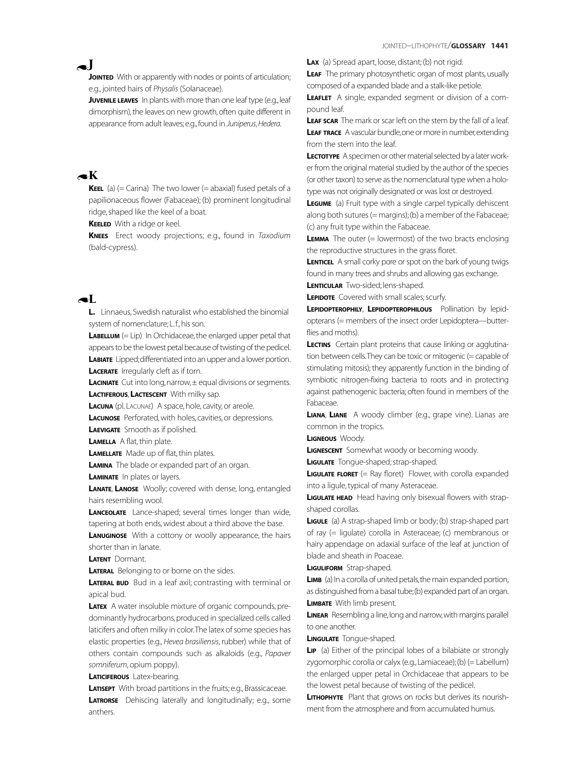# J A

**JOINTED** With or apparently with nodes or points of articulation; e.g., jointed hairs of *Physalis* (Solanaceae).

**JUVENILE LEAVES** In plants with more than one leaf type (e.g., leaf dimorphism), the leaves on new growth, often quite different in appearance from adult leaves;e.g.,found in *Juniperus*,*Hedera*.

# K A

**KEEL** (a) (= Carina) The two lower (= abaxial) fused petals of a papilionaceous flower (Fabaceae); (b) prominent longitudinal ridge, shaped like the keel of a boat.

**KEELED** With a ridge or keel.

**KNEES** Erect woody projections; e.g., found in *Taxodium* (bald-cypress).

# L A

**L.** Linnaeus, Swedish naturalist who established the binomial system of nomenclature; L.f., his son.

LABELLUM (= Lip) In Orchidaceae, the enlarged upper petal that appears to be the lowest petal because of twisting of the pedicel. **LABIATE** Lipped;differentiated into an upper and a lower portion. **LACERATE** Irregularly cleft as if torn.

LACINIATE Cut into long, narrow, ± equal divisions or segments. **LACTIFEROUS**, **LACTESCENT** With milky sap.

**LACUNA** (pl. LACUNAE) A space, hole, cavity, or areole.

**LACUNOSE** Perforated, with holes, cavities, or depressions.

**LAEVIGATE** Smooth as if polished.

**LAMELLA** A flat, thin plate.

**LAMELLATE** Made up of flat, thin plates.

**LAMINA** The blade or expanded part of an organ.

**LAMINATE** In plates or layers.

**LANATE**, **LANOSE** Woolly; covered with dense, long, entangled hairs resembling wool.

**LANCEOLATE** Lance-shaped; several times longer than wide, tapering at both ends, widest about a third above the base.

**LANUGINOSE** With a cottony or woolly appearance, the hairs shorter than in lanate.

**LATENT** Dormant.

**LATERAL** Belonging to or borne on the sides.

**LATERAL BUD** Bud in a leaf axil; contrasting with terminal or apical bud.

**LATEX** A water insoluble mixture of organic compounds, predominantly hydrocarbons, produced in specialized cells called laticifers and often milky in color.The latex of some species has elastic properties (e.g., *Hevea brasiliensis*, rubber) while that of others contain compounds such as alkaloids (e.g., *Papaver somniferum*, opium poppy).

**LATICIFEROUS** Latex-bearing.

**LATISEPT** With broad partitions in the fruits; e.g., Brassicaceae. **LATRORSE** Dehiscing laterally and longitudinally; e.g., some anthers.

Lax (a) Spread apart, loose, distant; (b) not rigid.

**LEAF** The primary photosynthetic organ of most plants, usually composed of a expanded blade and a stalk-like petiole.

**LEAFLET** A single, expanded segment or division of a compound leaf.

LEAF SCAR The mark or scar left on the stem by the fall of a leaf. **LEAF TRACE** A vascular bundle, one or more in number, extending from the stem into the leaf.

**LECTOTYPE** A specimen or other material selected by a later worker from the original material studied by the author of the species (or other taxon) to serve as the nomenclatural type when a holotype was not originally designated or was lost or destroyed.

**LEGUME** (a) Fruit type with a single carpel typically dehiscent along both sutures (= margins);(b) a member of the Fabaceae; (c) any fruit type within the Fabaceae.

**LEMMA** The outer (= lowermost) of the two bracts enclosing the reproductive structures in the grass floret.

**LENTICEL** A small corky pore or spot on the bark of young twigs found in many trees and shrubs and allowing gas exchange.

**LENTICULAR** Two-sided; lens-shaped.

**LEPIDOTE** Covered with small scales; scurfy.

**LEPIDOPTEROPHILY**, **LEPIDOPTEROPHILOUS** Pollination by lepidopterans (= members of the insect order Lepidoptera—butterflies and moths).

**LECTINS** Certain plant proteins that cause linking or agglutination between cells. They can be toxic or mitogenic (= capable of stimulating mitosis); they apparently function in the binding of symbiotic nitrogen-fixing bacteria to roots and in protecting against pathenogenic bacteria; often found in members of the Fabaceae.

**LIANA**, **LIANE** A woody climber (e.g., grape vine). Lianas are common in the tropics.

**LIGNEOUS** Woody.

**LIGNESCENT** Somewhat woody or becoming woody.

**LIGULATE** Tongue-shaped; strap-shaped.

**LIGULATE FLORET** (= Ray floret) Flower, with corolla expanded into a ligule, typical of many Asteraceae.

**LIGULATE HEAD** Head having only bisexual flowers with strapshaped corollas.

**LIGULE** (a) A strap-shaped limb or body; (b) strap-shaped part of ray (= ligulate) corolla in Asteraceae; (c) membranous or hairy appendage on adaxial surface of the leaf at junction of blade and sheath in Poaceae.

**LIGULIFORM** Strap-shaped.

LIMB (a) In a corolla of united petals, the main expanded portion, as distinguished from a basal tube;(b) expanded part of an organ. **LIMBATE** With limb present.

**LINEAR** Resembling a line, long and narrow, with margins parallel to one another.

**LINGULATE** Tongue-shaped.

**LIP** (a) Either of the principal lobes of a bilabiate or strongly zygomorphic corolla or calyx (e.g.,Lamiaceae);(b) (= Labellum) the enlarged upper petal in Orchidaceae that appears to be the lowest petal because of twisting of the pedicel.

**LITHOPHYTE** Plant that grows on rocks but derives its nourishment from the atmosphere and from accumulated humus.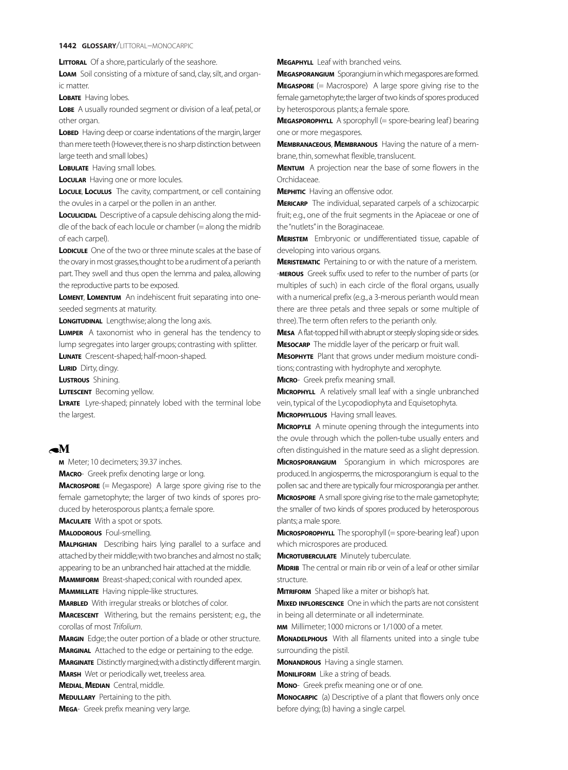### **1442 GLOSSARY**/LITTORAL–MONOCARPIC

**LITTORAL** Of a shore, particularly of the seashore.

**LOAM** Soil consisting of a mixture of sand, clay, silt, and organic matter.

**LOBATE** Having lobes.

**LOBE** A usually rounded segment or division of a leaf, petal, or other organ.

LOBED Having deep or coarse indentations of the margin, larger than mere teeth (However, there is no sharp distinction between large teeth and small lobes.)

**LOBULATE** Having small lobes.

**LocuLAR** Having one or more locules.

**LOCULE**, **LOCULUS** The cavity, compartment, or cell containing the ovules in a carpel or the pollen in an anther.

**LOCULICIDAL** Descriptive of a capsule dehiscing along the middle of the back of each locule or chamber (= along the midrib of each carpel).

**LODICULE** One of the two or three minute scales at the base of the ovary in most grasses,thought to be a rudiment of a perianth part. They swell and thus open the lemma and palea, allowing the reproductive parts to be exposed.

**LOMENT**, **LOMENTUM** An indehiscent fruit separating into oneseeded segments at maturity.

**Longitudinal** Lengthwise; along the long axis.

**LUMPER** A taxonomist who in general has the tendency to lump segregates into larger groups; contrasting with splitter.

**LUNATE** Crescent-shaped; half-moon-shaped.

**Lurid** Dirty, dingy.

**LUSTROUS** Shining.

**LUTESCENT** Becoming yellow.

**LYRATE** Lyre-shaped; pinnately lobed with the terminal lobe the largest.

## $\triangleleft$ M

**M** Meter; 10 decimeters; 39.37 inches.

**MACRO**- Greek prefix denoting large or long.

**MACROSPORE** (= Megaspore) A large spore giving rise to the female gametophyte; the larger of two kinds of spores produced by heterosporous plants; a female spore.

**MACULATE** With a spot or spots.

**MALODOROUS** Foul-smelling.

**MALPIGHIAN** Describing hairs lying parallel to a surface and attached by their middle;with two branches and almost no stalk; appearing to be an unbranched hair attached at the middle.

**MAMMIFORM** Breast-shaped; conical with rounded apex.

**MAMMILLATE** Having nipple-like structures.

**MARBLED** With irregular streaks or blotches of color.

**MARCESCENT** Withering, but the remains persistent; e.g., the corollas of most *Trifolium*.

**MARGIN** Edge; the outer portion of a blade or other structure. **MARGINAL** Attached to the edge or pertaining to the edge.

**MARGINATE** Distinctly margined;with a distinctly different margin. **MARSH** Wet or periodically wet, treeless area.

**MEDIAL**,**MEDIAN** Central, middle.

**MEDULLARY** Pertaining to the pith.

**MEGA**- Greek prefix meaning very large.

**MEGAPHYLL** Leaf with branched veins.

**MEGASPORANGIUM** Sporangium in which megaspores are formed. **MEGASPORE** (= Macrospore) A large spore giving rise to the female gametophyte;the larger of two kinds of spores produced by heterosporous plants; a female spore.

**MEGASPOROPHYLL** A sporophyll (= spore-bearing leaf) bearing one or more megaspores.

**MEMBRANACEOUS**, **MEMBRANOUS** Having the nature of a membrane, thin, somewhat flexible, translucent.

**MENTUM** A projection near the base of some flowers in the Orchidaceae.

**MEPHITIC** Having an offensive odor.

**MERICARP** The individual, separated carpels of a schizocarpic fruit; e.g., one of the fruit segments in the Apiaceae or one of the "nutlets"in the Boraginaceae.

**MERISTEM** Embryonic or undifferentiated tissue, capable of developing into various organs.

**MERISTEMATIC** Pertaining to or with the nature of a meristem.

-**MEROUS** Greek suffix used to refer to the number of parts (or multiples of such) in each circle of the floral organs, usually with a numerical prefix (e.g.,a 3-merous perianth would mean there are three petals and three sepals or some multiple of three).The term often refers to the perianth only.

**MESA** A flat-topped hill with abrupt or steeply sloping side or sides. **MESOCARP** The middle layer of the pericarp or fruit wall.

**MESOPHYTE** Plant that grows under medium moisture conditions; contrasting with hydrophyte and xerophyte.

**MICRO**- Greek prefix meaning small.

**MICROPHYLL** A relatively small leaf with a single unbranched vein, typical of the Lycopodiophyta and Equisetophyta.

**MICROPHYLLOUS** Having small leaves.

**MICROPYLE** A minute opening through the integuments into the ovule through which the pollen-tube usually enters and often distinguished in the mature seed as a slight depression.

**MICROSPORANGIUM** Sporangium in which microspores are produced. In angiosperms, the microsporangium is equal to the pollen sac and there are typically four microsporangia per anther. **MICROSPORE** A small spore giving rise to the male gametophyte; the smaller of two kinds of spores produced by heterosporous plants;a male spore.

**MICROSPOROPHYLL** The sporophyll (= spore-bearing leaf) upon which microspores are produced.

**MICROTUBERCULATE** Minutely tuberculate.

**MIDRIB** The central or main rib or vein of a leaf or other similar structure.

**MITRIFORM** Shaped like a miter or bishop's hat.

**MIXED INFLORESCENCE** One in which the parts are not consistent in being all determinate or all indeterminate.

**MM** Millimeter; 1000 microns or 1/1000 of a meter.

**MONADELPHOUS** With all filaments united into a single tube surrounding the pistil.

**Monandrous** Having a single stamen.

**MONILIFORM** Like a string of beads.

**MONO**- Greek prefix meaning one or of one.

**MONOCARPIC** (a) Descriptive of a plant that flowers only once before dying; (b) having a single carpel.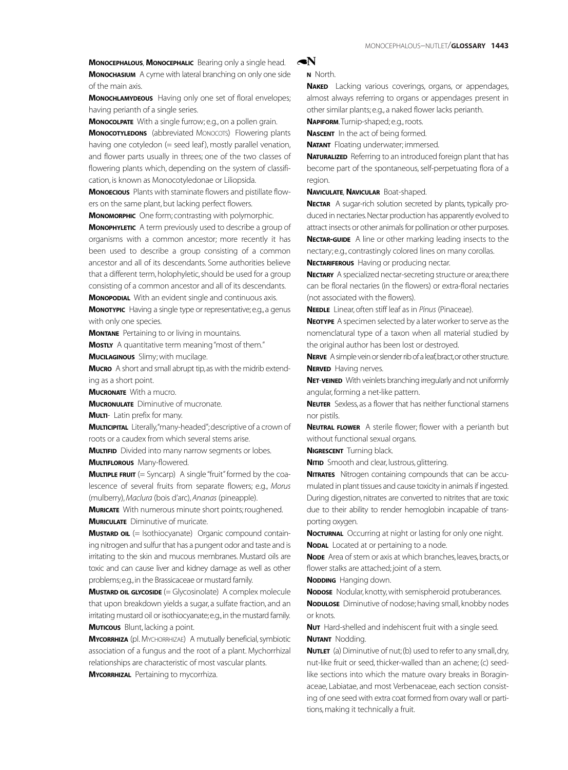**MONOCEPHALOUS**, **MONOCEPHALIC** Bearing only a single head. **MONOCHASIUM** A cyme with lateral branching on only one side of the main axis.

**MONOCHLAMYDEOUS** Having only one set of floral envelopes; having perianth of a single series.

**MONOCOLPATE** With a single furrow; e.g., on a pollen grain.

**MONOCOTYLEDONS** (abbreviated MONOCOTS) Flowering plants having one cotyledon (= seed leaf), mostly parallel venation, and flower parts usually in threes; one of the two classes of flowering plants which, depending on the system of classification, is known as Monocotyledonae or Liliopsida.

**MONOECIOUS** Plants with staminate flowers and pistillate flowers on the same plant, but lacking perfect flowers.

**MONOMORPHIC** One form; contrasting with polymorphic.

**MONOPHYLETIC** A term previously used to describe a group of organisms with a common ancestor; more recently it has been used to describe a group consisting of a common ancestor and all of its descendants. Some authorities believe that a different term, holophyletic, should be used for a group consisting of a common ancestor and all of its descendants.

**MONOPODIAL** With an evident single and continuous axis.

**MONOTYPIC** Having a single type or representative; e.g., a genus with only one species.

**MONTANE** Pertaining to or living in mountains.

**MOSTLY** A quantitative term meaning "most of them."

**Mucilaginous** Slimy; with mucilage.

**MUCRO** A short and small abrupt tip,as with the midrib extending as a short point.

**MUCRONATE** With a mucro.

**MUCRONULATE** Diminutive of mucronate.

**MULTI**- Latin prefix for many.

**MULTICIPITAL** Literally,"many-headed";descriptive of a crown of roots or a caudex from which several stems arise.

**MULTIFID** Divided into many narrow segments or lobes. **MULTIFLOROUS** Many-flowered.

**MULTIPLE FRUIT** (= Syncarp) A single "fruit" formed by the coalescence of several fruits from separate flowers; e.g., *Morus* (mulberry),*Maclura* (bois d'arc), *Ananas* (pineapple).

**MURICATE** With numerous minute short points; roughened. **MURICULATE** Diminutive of muricate.

**MUSTARD OIL** (= Isothiocyanate) Organic compound containing nitrogen and sulfur that has a pungent odor and taste and is irritating to the skin and mucous membranes. Mustard oils are toxic and can cause liver and kidney damage as well as other problems;e.g.,in the Brassicaceae or mustard family.

**MUSTARD OIL GLYCOSIDE** (= Glycosinolate) A complex molecule that upon breakdown yields a sugar, a sulfate fraction, and an irritating mustard oil or isothiocyanate; e.g., in the mustard family. **MUTICOUS** Blunt, lacking a point.

**MYCORRHIZA** (pl. MYCHORRHIZAE) A mutually beneficial, symbiotic association of a fungus and the root of a plant. Mychorrhizal relationships are characteristic of most vascular plants. **MYCORRHIZAL** Pertaining to mycorrhiza.

#### **N** North.

N A

**NAKED** Lacking various coverings, organs, or appendages, almost always referring to organs or appendages present in other similar plants; e.g., a naked flower lacks perianth.

**NAPIFORM**.Turnip-shaped; e.g., roots.

**NASCENT** In the act of being formed.

**NATANT** Floating underwater; immersed.

**NATURALIZED** Referring to an introduced foreign plant that has become part of the spontaneous, self-perpetuating flora of a region.

**NAVICULATE**, **NAVICULAR** Boat-shaped.

**NECTAR** A sugar-rich solution secreted by plants, typically produced in nectaries.Nectar production has apparently evolved to attract insects or other animals for pollination or other purposes. **NECTAR-GUIDE** A line or other marking leading insects to the nectary; e.g., contrastingly colored lines on many corollas.

**NECTARIFEROUS** Having or producing nectar.

**NECTARY** A specialized nectar-secreting structure or area;there can be floral nectaries (in the flowers) or extra-floral nectaries (not associated with the flowers).

**NEEDLE** Linear, often stiff leaf as in *Pinus* (Pinaceae).

**NEOTYPE** A specimen selected by a later worker to serve as the nomenclatural type of a taxon when all material studied by the original author has been lost or destroyed.

**NERVE** A simple vein or slender rib of a leaf,bract,or other structure. **NERVED** Having nerves.

**NET**-**VEINED** With veinlets branching irregularly and not uniformly angular, forming a net-like pattern.

**NEUTER** Sexless, as a flower that has neither functional stamens nor pistils.

**NEUTRAL FLOWER** A sterile flower; flower with a perianth but without functional sexual organs.

**NIGRESCENT** Turning black.

**NITID** Smooth and clear, lustrous, glittering.

**NITRATES** Nitrogen containing compounds that can be accumulated in plant tissues and cause toxicity in animals if ingested. During digestion, nitrates are converted to nitrites that are toxic due to their ability to render hemoglobin incapable of transporting oxygen.

**NOCTURNAL** Occurring at night or lasting for only one night. **NODAL** Located at or pertaining to a node.

**NODE** Area of stem or axis at which branches, leaves, bracts, or flower stalks are attached; joint of a stem.

**NODDING** Hanging down.

**NODOSE** Nodular, knotty, with semispheroid protuberances. **NODULOSE** Diminutive of nodose; having small, knobby nodes or knots.

**NUT** Hard-shelled and indehiscent fruit with a single seed. **NUTANT** Nodding.

**NUTLET** (a) Diminutive of nut; (b) used to refer to any small, dry, nut-like fruit or seed, thicker-walled than an achene; (c) seedlike sections into which the mature ovary breaks in Boraginaceae, Labiatae, and most Verbenaceae, each section consisting of one seed with extra coat formed from ovary wall or partitions, making it technically a fruit.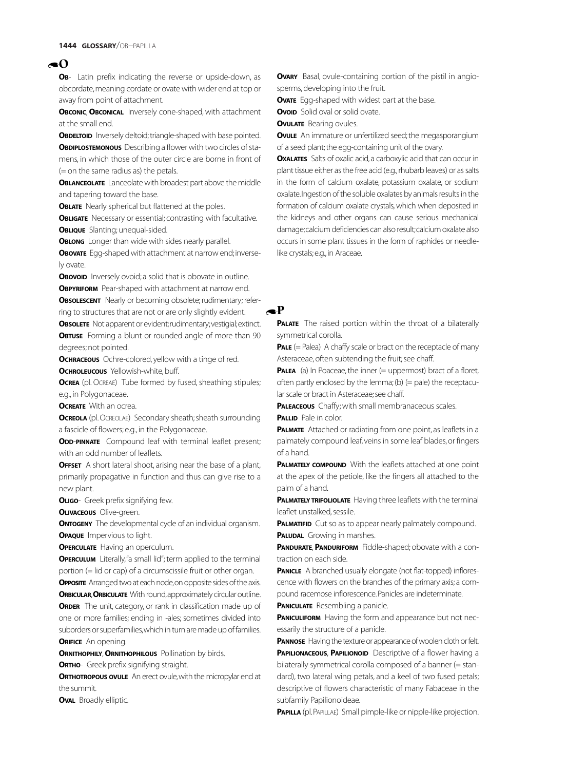# $\bullet$ <sup>0</sup>

**OB**- Latin prefix indicating the reverse or upside-down, as obcordate,meaning cordate or ovate with wider end at top or away from point of attachment.

**OBCONIC, OBCONICAL** Inversely cone-shaped, with attachment at the small end.

**OBDELTOID** Inversely deltoid; triangle-shaped with base pointed. **OBDIPLOSTEMONOUS** Describing a flower with two circles of stamens, in which those of the outer circle are borne in front of (= on the same radius as) the petals.

**OBLANCEOLATE** Lanceolate with broadest part above the middle and tapering toward the base.

**OBLATE** Nearly spherical but flattened at the poles.

**OBLIGATE** Necessary or essential; contrasting with facultative.

**OBLIQUE** Slanting; unequal-sided.

**OBLONG** Longer than wide with sides nearly parallel.

**OBOVATE** Egg-shaped with attachment at narrow end;inversely ovate.

**OBOVOID** Inversely ovoid; a solid that is obovate in outline. **OBPYRIFORM** Pear-shaped with attachment at narrow end.

**OBSOLESCENT** Nearly or becoming obsolete; rudimentary; referring to structures that are not or are only slightly evident.

**OBSOLETE** Not apparent or evident; rudimentary; vestigial; extinct. **OBTUSE** Forming a blunt or rounded angle of more than 90 degrees; not pointed.

**OCHRACEOUS** Ochre-colored, yellow with a tinge of red. **OCHROLEUCOUS** Yellowish-white, buff.

**OCREA** (pl. OCREAE) Tube formed by fused, sheathing stipules; e.g., in Polygonaceae.

**OCREATE** With an ocrea.

**OCREOLA** (pl. OCREOLAE) Secondary sheath; sheath surrounding a fascicle of flowers; e.g., in the Polygonaceae.

**ODD-PINNATE** Compound leaf with terminal leaflet present; with an odd number of leaflets.

**OFFSET** A short lateral shoot, arising near the base of a plant, primarily propagative in function and thus can give rise to a new plant.

**OLIGO**- Greek prefix signifying few.

**OLIVACEOUS** Olive-green.

**ONTOGENY** The developmental cycle of an individual organism. **OPAQUE** Impervious to light.

**OPERCULATE** Having an operculum.

**OPERCULUM** Literally,"a small lid"; term applied to the terminal portion (= lid or cap) of a circumscissile fruit or other organ.

**OPPOSITE** Arranged two at each node, on opposite sides of the axis.

**ORBICULAR, ORBICULATE** With round, approximately circular outline. **ORDER** The unit, category, or rank in classification made up of one or more families; ending in -ales; sometimes divided into suborders or superfamilies,which in turn are made up of families. **ORIFICE** An opening.

**ORNITHOPHILY, ORNITHOPHILOUS** Pollination by birds.

**ORTHO-** Greek prefix signifying straight.

**ORTHOTROPOUS OVULE** An erect ovule, with the micropylar end at the summit.

**Oval** Broadly elliptic.

**OVARY** Basal, ovule-containing portion of the pistil in angiosperms, developing into the fruit.

**OVATE** Egg-shaped with widest part at the base.

**Ovoid** Solid oval or solid ovate.

**OVULATE** Bearing ovules.

**OVULE** An immature or unfertilized seed; the megasporangium of a seed plant; the egg-containing unit of the ovary.

**OXALATES** Salts of oxalic acid, a carboxylic acid that can occur in plant tissue either as the free acid (e.g., rhubarb leaves) or as salts in the form of calcium oxalate, potassium oxalate, or sodium oxalate.Ingestion of the soluble oxalates by animals results in the formation of calcium oxalate crystals, which when deposited in the kidneys and other organs can cause serious mechanical damage;calcium deficiencies can also result;calcium oxalate also occurs in some plant tissues in the form of raphides or needlelike crystals; e.g., in Araceae.

 $\triangle$  P

**PALATE** The raised portion within the throat of a bilaterally symmetrical corolla.

**PALE** (= Palea) A chaffy scale or bract on the receptacle of many Asteraceae, often subtending the fruit; see chaff.

PALEA (a) In Poaceae, the inner (= uppermost) bract of a floret, often partly enclosed by the lemma;  $(b)$  (= pale) the receptacular scale or bract in Asteraceae; see chaff.

**PALEACEOUS** Chaffy; with small membranaceous scales. **PALLID** Pale in color.

**PALMATE** Attached or radiating from one point, as leaflets in a palmately compound leaf, veins in some leaf blades, or fingers of a hand.

**PALMATELY COMPOUND** With the leaflets attached at one point at the apex of the petiole, like the fingers all attached to the palm of a hand.

**PALMATELY TRIFOLIOLATE** Having three leaflets with the terminal leaflet unstalked, sessile.

**PALMATIFID** Cut so as to appear nearly palmately compound. **PALUDAL** Growing in marshes.

**PANDURATE**, **PANDURIFORM** Fiddle-shaped; obovate with a contraction on each side.

**PANICLE** A branched usually elongate (not flat-topped) inflorescence with flowers on the branches of the primary axis; a compound racemose inflorescence.Panicles are indeterminate.

**PANICULATE** Resembling a panicle.

**PANICULIFORM** Having the form and appearance but not necessarily the structure of a panicle.

**PANNOSE** Having the texture or appearance of woolen cloth or felt. **PAPILIONACEOUS, PAPILIONOID** Descriptive of a flower having a bilaterally symmetrical corolla composed of a banner (= standard), two lateral wing petals, and a keel of two fused petals; descriptive of flowers characteristic of many Fabaceae in the subfamily Papilionoideae.

**PAPILLA** (pl. PAPILLAE) Small pimple-like or nipple-like projection.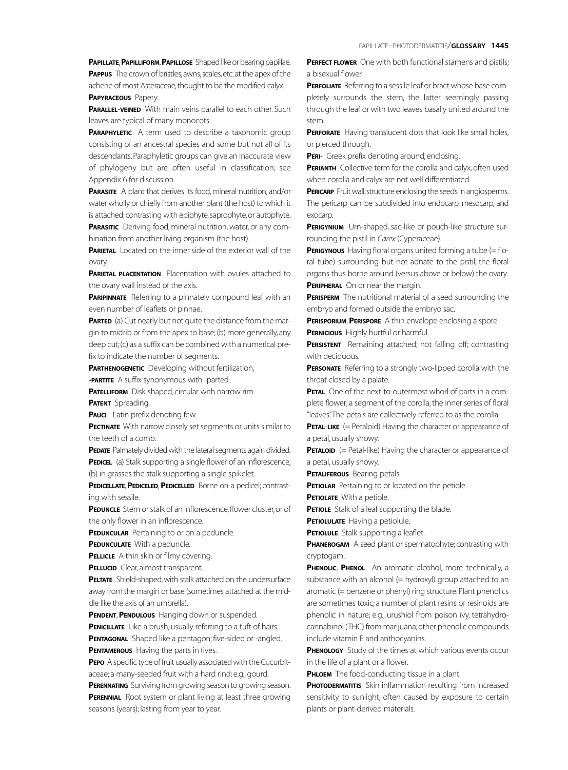**PAPILLATE**,**PAPILLIFORM**,**PAPILLOSE** Shaped like or bearing papillae. **PAPPUS** The crown of bristles, awns, scales, etc. at the apex of the achene of most Asteraceae, thought to be the modified calyx.

**PAPYRACEOUS** Papery.

**PARALLEL-VEINED** With main veins parallel to each other. Such leaves are typical of many monocots.

**PARAPHYLETIC** A term used to describe a taxonomic group consisting of an ancestral species and some but not all of its descendants.Paraphyletic groups can give an inaccurate view of phylogeny but are often useful in classification; see Appendix 6 for discussion.

**PARASITE** A plant that derives its food, mineral nutrition, and/or water wholly or chiefly from another plant (the host) to which it is attached; contrasting with epiphyte, saprophyte, or autophyte. **PARASITIC** Deriving food, mineral nutrition, water, or any combination from another living organism (the host).

**PARIETAL** Located on the inner side of the exterior wall of the ovary.

**PARIETAL PLACENTATION** Placentation with ovules attached to the ovary wall instead of the axis.

**PARIPINNATE** Referring to a pinnately compound leaf with an even number of leaflets or pinnae.

**PARTED** (a) Cut nearly but not quite the distance from the margin to midrib or from the apex to base; (b) more generally, any deep cut;(c) as a suffix can be combined with a numerical prefix to indicate the number of segments.

**PARTHENOGENETIC** Developing without fertilization.

**-PARTITE** A suffix synonymous with -parted.

**PATELLIFORM** Disk-shaped; circular with narrow rim. **PATENT** Spreading.

**PAUCI-** Latin prefix denoting few.

**PECTINATE** With narrow closely set segments or units similar to the teeth of a comb.

**PEDATE** Palmately divided with the lateral segments again divided. **PEDICEL** (a) Stalk supporting a single flower of an inflorescence;

(b) in grasses the stalk supporting a single spikelet.

**PEDICELLATE**, **PEDICELED**, **PEDICELLED** Borne on a pedicel; contrasting with sessile.

**PEDUNCLE** Stem or stalk of an inflorescence, flower cluster, or of the only flower in an inflorescence.

**PEDUNCULAR** Pertaining to or on a peduncle.

**PEDUNCULATE** With a peduncle.

**PELLICLE** A thin skin or filmy covering.

**PELLUCID** Clear, almost transparent.

**PELTATE** Shield-shaped,with stalk attached on the undersurface away from the margin or base (sometimes attached at the middle like the axis of an umbrella).

**PENDENT**,**PENDULOUS** Hanging down or suspended.

**PENICILLATE** Like a brush, usually referring to a tuft of hairs. **PENTAGONAL** Shaped like a pentagon; five-sided or -angled. **PENTAMEROUS** Having the parts in fives.

**PEPO** A specific type of fruit usually associated with the Cucurbitaceae; a many-seeded fruit with a hard rind; e.g., gourd.

**PERENNATING** Surviving from growing season to growing season. **PERENNIAL** Root system or plant living at least three growing seasons (years); lasting from year to year.

**PERFECT FLOWER** One with both functional stamens and pistils: a bisexual flower.

**PERFOLIATE** Referring to a sessile leaf or bract whose base completely surrounds the stem, the latter seemingly passing through the leaf or with two leaves basally united around the stem.

**PERFORATE** Having translucent dots that look like small holes, or pierced through.

**PERI-** Greek prefix denoting around, enclosing.

**PERIANTH** Collective term for the corolla and calyx, often used when corolla and calyx are not well differentiated.

**PERICARP** Fruit wall; structure enclosing the seeds in angiosperms. The pericarp can be subdivided into endocarp, mesocarp, and exocarp.

**PERIGYNIUM** Urn-shaped, sac-like or pouch-like structure surrounding the pistil in *Carex* (Cyperaceae).

**PERIGYNOUS** Having floral organs united forming a tube (= floral tube) surrounding but not adnate to the pistil, the floral organs thus borne around (versus above or below) the ovary. **PERIPHERAL** On or near the margin.

**PERISPERM** The nutritional material of a seed surrounding the embryo and formed outside the embryo sac.

**PERISPORIUM**,**PERISPORE** A thin envelope enclosing a spore.

**PERNICIOUS** Highly hurtful or harmful.

**PERSISTENT** Remaining attached; not falling off; contrasting with deciduous.

**PERSONATE** Referring to a strongly two-lipped corolla with the throat closed by a palate.

**PETAL** One of the next-to-outermost whorl of parts in a complete flower; a segment of the corolla; the inner series of floral "leaves".The petals are collectively referred to as the corolla.

**PETAL-LIKE** (= Petaloid) Having the character or appearance of a petal, usually showy.

**PETALOID** (= Petal-like) Having the character or appearance of a petal, usually showy.

**PETALIFEROUS** Bearing petals.

**PETIOLAR** Pertaining to or located on the petiole.

**PETIOLATE** With a petiole.

**PETIOLE** Stalk of a leaf supporting the blade.

**PETIOLULATE** Having a petiolule.

**PETIOLULE** Stalk supporting a leaflet.

**PHANEROGAM** A seed plant or spermatophyte; contrasting with cryptogam.

**PHENOLIC, PHENOL** An aromatic alcohol; more technically, a substance with an alcohol (= hydroxyl) group attached to an aromatic (= benzene or phenyl) ring structure. Plant phenolics are sometimes toxic; a number of plant resins or resinoids are phenolic in nature; e.g., urushiol from poison ivy, tetrahydrocannabinol (THC) from marijuana;other phenolic compounds include vitamin E and anthocyanins.

**PHENOLOGY** Study of the times at which various events occur in the life of a plant or a flower.

**PHLOEM** The food-conducting tissue in a plant.

**PHOTODERMATITIS** Skin inflammation resulting from increased sensitivity to sunlight, often caused by exposure to certain plants or plant-derived materials.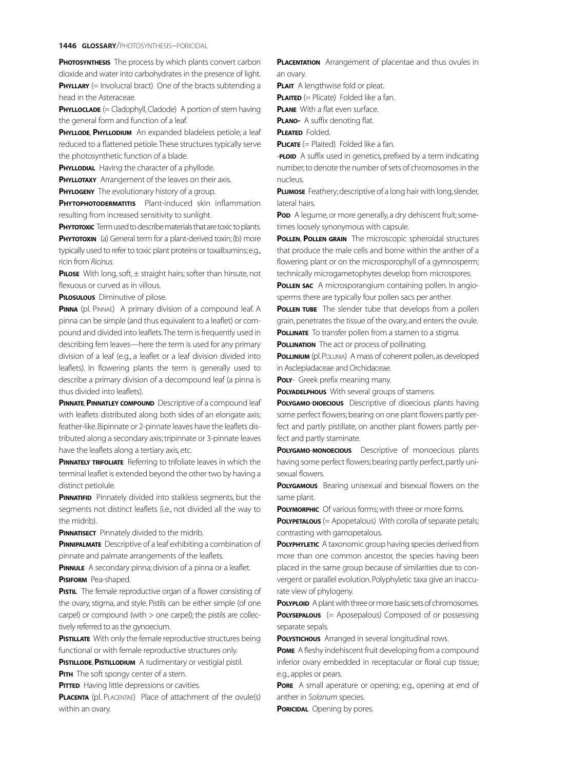#### **1446 GLOSSARY**/PHOTOSYNTHESIS–PORICIDAL

**PHOTOSYNTHESIS** The process by which plants convert carbon dioxide and water into carbohydrates in the presence of light. **PHYLLARY** (= Involucral bract) One of the bracts subtending a head in the Asteraceae.

**PHYLLOCLADE** (= Cladophyll, Cladode) A portion of stem having the general form and function of a leaf.

**PHYLLODE**, **PHYLLODIUM** An expanded bladeless petiole; a leaf reduced to a flattened petiole.These structures typically serve the photosynthetic function of a blade.

**PHYLLODIAL** Having the character of a phyllode.

**PHYLLOTAXY** Arrangement of the leaves on their axis.

**PHYLOGENY** The evolutionary history of a group.

**PHYTOPHOTODERMATITIS** Plant-induced skin inflammation resulting from increased sensitivity to sunlight.

**PHYTOTOXIC** Term used to describe materials that are toxic to plants. **PHYTOTOXIN** (a) General term for a plant-derived toxin; (b) more typically used to refer to toxic plant proteins or toxalbumins;e.g., ricin from *Ricinus*.

**PILOSE** With long, soft,  $\pm$  straight hairs; softer than hirsute, not flexuous or curved as in villous.

**PILOSULOUS** Diminutive of pilose.

PINNA (pl. PINNAE) A primary division of a compound leaf. A pinna can be simple (and thus equivalent to a leaflet) or compound and divided into leaflets.The term is frequently used in describing fern leaves—here the term is used for any primary division of a leaf (e.g., a leaflet or a leaf division divided into leaflets). In flowering plants the term is generally used to describe a primary division of a decompound leaf (a pinna is thus divided into leaflets).

**PINNATE, PINNATLEY COMPOUND** Descriptive of a compound leaf with leaflets distributed along both sides of an elongate axis; feather-like.Bipinnate or 2-pinnate leaves have the leaflets distributed along a secondary axis; tripinnate or 3-pinnate leaves have the leaflets along a tertiary axis, etc.

**PINNATELY TRIFOLIATE** Referring to trifoliate leaves in which the terminal leaflet is extended beyond the other two by having a distinct petiolule.

**PINNATIFID** Pinnately divided into stalkless segments, but the segments not distinct leaflets (i.e., not divided all the way to the midrib).

**PINNATISECT** Pinnately divided to the midrib.

**PINNIPALMATE** Descriptive of a leaf exhibiting a combination of pinnate and palmate arrangements of the leaflets.

**PINNULE** A secondary pinna; division of a pinna or a leaflet. **PISIFORM** Pea-shaped.

**PISTIL** The female reproductive organ of a flower consisting of the ovary, stigma, and style. Pistils can be either simple (of one carpel) or compound (with > one carpel); the pistils are collectively referred to as the gynoecium.

**PISTILLATE** With only the female reproductive structures being functional or with female reproductive structures only.

**PISTILLODE, PISTILLODIUM** A rudimentary or vestigial pistil. **PITH** The soft spongy center of a stem.

**PITTED** Having little depressions or cavities.

**PLACENTA** (pl. PLACENTAE) Place of attachment of the ovule(s) within an ovary.

**PLACENTATION** Arrangement of placentae and thus ovules in an ovary.

**PLAIT** A lengthwise fold or pleat.

**PLAITED** (= Plicate) Folded like a fan.

**PLANE** With a flat even surface.

**PLANO-** A suffix denoting flat.

**PLEATED** Folded.

**PLICATE** (= Plaited) Folded like a fan.

-**PLOID** A suffix used in genetics, prefixed by a term indicating number,to denote the number of sets of chromosomes in the nucleus.

**PLUMOSE** Feathery; descriptive of a long hair with long, slender, lateral hairs.

**Pop** A legume, or more generally, a dry dehiscent fruit; sometimes loosely synonymous with capsule.

**POLLEN**, **POLLEN GRAIN** The microscopic spheroidal structures that produce the male cells and borne within the anther of a flowering plant or on the microsporophyll of a gymnosperm; technically microgametophytes develop from microspores.

**POLLEN SAC** A microsporangium containing pollen. In angiosperms there are typically four pollen sacs per anther.

**POLLEN TUBE** The slender tube that develops from a pollen grain, penetrates the tissue of the ovary, and enters the ovule. **POLLINATE** To transfer pollen from a stamen to a stigma.

**POLLINATION** The act or process of pollinating.

**POLLINIUM** (pl. POLLINIA) A mass of coherent pollen, as developed in Asclepiadaceae and Orchidaceae.

**POLY**- Greek prefix meaning many.

**POLYADELPHOUS** With several groups of stamens.

**POLYGAMO**-**DIOECIOUS** Descriptive of dioecious plants having some perfect flowers; bearing on one plant flowers partly perfect and partly pistillate, on another plant flowers partly perfect and partly staminate.

**POLYGAMO**-**MONOECIOUS** Descriptive of monoecious plants having some perfect flowers; bearing partly perfect, partly unisexual flowers.

**POLYGAMOUS** Bearing unisexual and bisexual flowers on the same plant.

**POLYMORPHIC** Of various forms; with three or more forms.

**POLYPETALOUS** (= Apopetalous) With corolla of separate petals; contrasting with gamopetalous.

**POLYPHYLETIC** A taxonomic group having species derived from more than one common ancestor, the species having been placed in the same group because of similarities due to convergent or parallel evolution. Polyphyletic taxa give an inaccurate view of phylogeny.

**POLYPLOID** A plant with three or more basic sets of chromosomes. **POLYSEPALOUS** (= Aposepalous) Composed of or possessing separate sepals.

**POLYSTICHOUS** Arranged in several longitudinal rows.

**POME** A fleshy indehiscent fruit developing from a compound inferior ovary embedded in receptacular or floral cup tissue; e.g., apples or pears.

**PORE** A small aperature or opening; e.g., opening at end of anther in *Solanum* species.

**PORICIDAL** Opening by pores.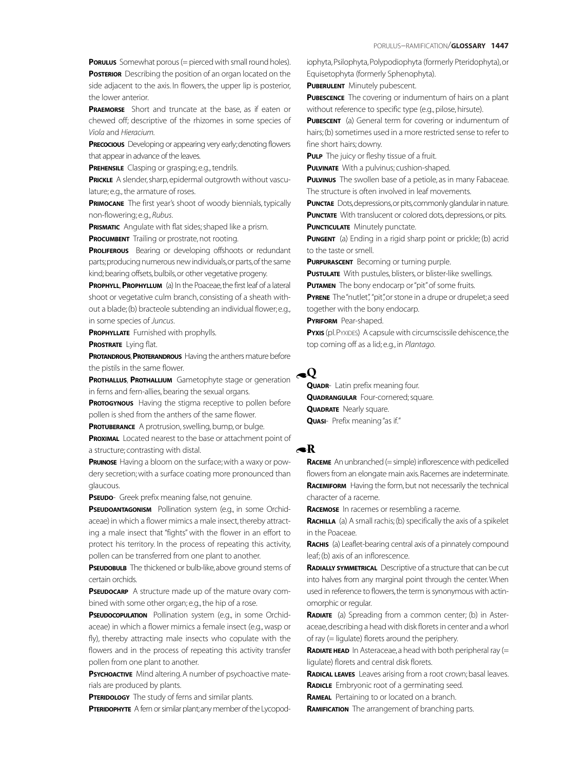**Porulus** Somewhat porous (= pierced with small round holes). **POSTERIOR** Describing the position of an organ located on the side adjacent to the axis. In flowers, the upper lip is posterior, the lower anterior.

**PRAEMORSE** Short and truncate at the base, as if eaten or chewed off; descriptive of the rhizomes in some species of *Viola* and *Hieracium.*

**PRECOCIOUS** Developing or appearing very early; denoting flowers that appear in advance of the leaves.

**PREHENSILE** Clasping or grasping; e.g., tendrils.

**PRICKLE** A slender, sharp, epidermal outgrowth without vasculature; e.g., the armature of roses.

**PRIMOCANE** The first year's shoot of woody biennials, typically non-flowering; e.g., *Rubus*.

**PRISMATIC** Angulate with flat sides; shaped like a prism.

**PROCUMBENT** Trailing or prostrate, not rooting.

**PROLIFEROUS** Bearing or developing offshoots or redundant parts;producing numerous new individuals,or parts,of the same kind; bearing offsets, bulbils, or other vegetative progeny.

**PROPHYLL, PROPHYLLUM** (a) In the Poaceae, the first leaf of a lateral shoot or vegetative culm branch, consisting of a sheath without a blade;(b) bracteole subtending an individual flower;e.g., in some species of *Juncus*.

**PROPHYLLATE** Furnished with prophylls.

**PROSTRATE** Lying flat.

**PROTANDROUS**,**PROTERANDROUS** Having the anthers mature before the pistils in the same flower.

**PROTHALLUS, PROTHALLIUM** Gametophyte stage or generation in ferns and fern-allies, bearing the sexual organs.

**PROTOGYNOUS** Having the stigma receptive to pollen before pollen is shed from the anthers of the same flower.

**PROTUBERANCE** A protrusion, swelling, bump, or bulge.

**PROXIMAL** Located nearest to the base or attachment point of a structure; contrasting with distal.

**PRUINOSE** Having a bloom on the surface; with a waxy or powdery secretion; with a surface coating more pronounced than glaucous.

**Pseupo**- Greek prefix meaning false, not genuine.

**PSEUDOANTAGONISM** Pollination system (e.g., in some Orchidaceae) in which a flower mimics a male insect, thereby attracting a male insect that "fights" with the flower in an effort to protect his territory. In the process of repeating this activity, pollen can be transferred from one plant to another.

**PSEUDOBULB** The thickened or bulb-like, above ground stems of certain orchids.

**PSEUDOCARP** A structure made up of the mature ovary combined with some other organ; e.g., the hip of a rose.

**PSEUDOCOPULATION** Pollination system (e.g., in some Orchidaceae) in which a flower mimics a female insect (e.g., wasp or fly), thereby attracting male insects who copulate with the flowers and in the process of repeating this activity transfer pollen from one plant to another.

**PSYCHOACTIVE** Mind altering. A number of psychoactive materials are produced by plants.

**PTERIDOLOGY** The study of ferns and similar plants.

**PTERIDOPHYTE** A fern or similar plant;any member of the Lycopod-

iophyta,Psilophyta,Polypodiophyta (formerly Pteridophyta),or Equisetophyta (formerly Sphenophyta).

**PUBERULENT** Minutely pubescent.

**PUBESCENCE** The covering or indumentum of hairs on a plant without reference to specific type (e.g., pilose, hirsute).

**PUBESCENT** (a) General term for covering or indumentum of hairs; (b) sometimes used in a more restricted sense to refer to fine short hairs; downy.

**PULP** The juicy or fleshy tissue of a fruit.

**PULVINATE** With a pulvinus; cushion-shaped.

**PULVINUS** The swollen base of a petiole, as in many Fabaceae. The structure is often involved in leaf movements.

**PUNCTAE** Dots, depressions, or pits, commonly glandular in nature. **PUNCTATE** With translucent or colored dots, depressions, or pits. **PUNCTICULATE** Minutely punctate.

**PUNGENT** (a) Ending in a rigid sharp point or prickle; (b) acrid to the taste or smell.

**PURPURASCENT** Becoming or turning purple.

**PUSTULATE** With pustules, blisters, or blister-like swellings.

**PUTAMEN** The bony endocarp or "pit" of some fruits.

**PYRENE** The "nutlet", "pit", or stone in a drupe or drupelet; a seed together with the bony endocarp.

**PYRIFORM** Pear-shaped.

PYXIS (pl.PYXIDES) A capsule with circumscissile dehiscence, the top coming off as a lid; e.g., in *Plantago*.



**QUADR**- Latin prefix meaning four. **QUADRANGULAR** Four-cornered; square. **QUADRATE** Nearly square. **QUASI**- Prefix meaning "as if."

# R A

**RACEME** An unbranched (= simple) inflorescence with pedicelled flowers from an elongate main axis. Racemes are indeterminate. **RACEMIFORM** Having the form, but not necessarily the technical character of a raceme.

**RACEMOSE** In racemes or resembling a raceme.

**RACHILLA** (a) A small rachis; (b) specifically the axis of a spikelet in the Poaceae.

**RACHIS** (a) Leaflet-bearing central axis of a pinnately compound leaf; (b) axis of an inflorescence.

**RADIALLY SYMMETRICAL** Descriptive of a structure that can be cut into halves from any marginal point through the center. When used in reference to flowers, the term is synonymous with actinomorphic or regular.

**RADIATE** (a) Spreading from a common center; (b) in Asteraceae, describing a head with disk florets in center and a whorl of ray (= ligulate) florets around the periphery.

**RADIATE HEAD** In Asteraceae, a head with both peripheral ray (= ligulate) florets and central disk florets.

**RADICAL LEAVES** Leaves arising from a root crown; basal leaves. **RADICLE** Embryonic root of a germinating seed.

**RAMEAL** Pertaining to or located on a branch.

**RAMIFICATION** The arrangement of branching parts.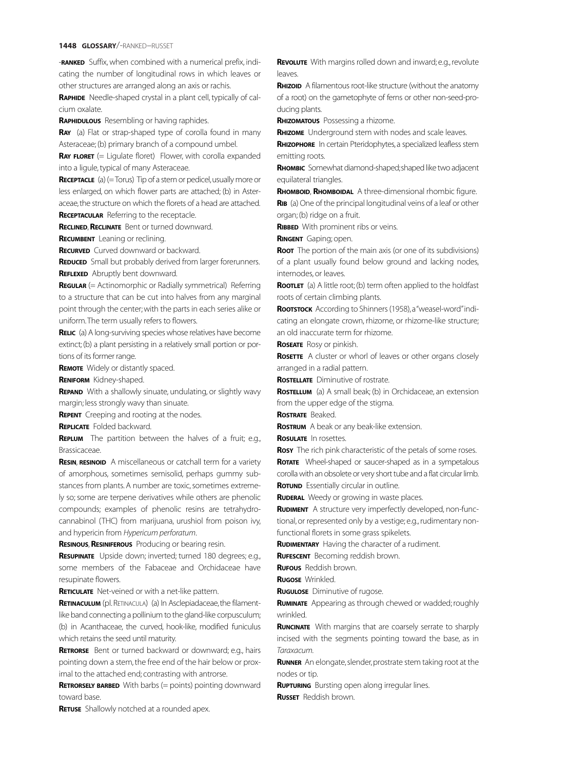-**RANKED** Suffix, when combined with a numerical prefix, indicating the number of longitudinal rows in which leaves or other structures are arranged along an axis or rachis.

**RAPHIDE** Needle-shaped crystal in a plant cell, typically of calcium oxalate.

**RAPHIDULOUS** Resembling or having raphides.

**RAY** (a) Flat or strap-shaped type of corolla found in many Asteraceae; (b) primary branch of a compound umbel.

**RAY FLORET** (= Ligulate floret) Flower, with corolla expanded into a ligule, typical of many Asteraceae.

**RECEPTACLE** (a) (= Torus) Tip of a stem or pedicel, usually more or less enlarged, on which flower parts are attached; (b) in Asteraceae,the structure on which the florets of a head are attached.

**RECEPTACULAR** Referring to the receptacle.

**RECLINED**,**RECLINATE** Bent or turned downward.

**RECUMBENT** Leaning or reclining.

**RECURVED** Curved downward or backward.

**REDUCED** Small but probably derived from larger forerunners. **REFLEXED** Abruptly bent downward.

**REGULAR** (= Actinomorphic or Radially symmetrical) Referring to a structure that can be cut into halves from any marginal point through the center; with the parts in each series alike or uniform.The term usually refers to flowers.

**RELIC** (a) A long-surviving species whose relatives have become extinct; (b) a plant persisting in a relatively small portion or portions of its former range.

**REMOTE** Widely or distantly spaced.

**RENIFORM** Kidney-shaped.

**REPAND** With a shallowly sinuate, undulating, or slightly wavy margin; less strongly wavy than sinuate.

**REPENT** Creeping and rooting at the nodes.

**REPLICATE** Folded backward.

**REPLUM** The partition between the halves of a fruit; e.g., Brassicaceae.

**RESIN, RESINOID** A miscellaneous or catchall term for a variety of amorphous, sometimes semisolid, perhaps gummy substances from plants. A number are toxic, sometimes extremely so; some are terpene derivatives while others are phenolic compounds; examples of phenolic resins are tetrahydrocannabinol (THC) from marijuana, urushiol from poison ivy, and hypericin from *Hypericum perforatum*.

**RESINOUS**,**RESINIFEROUS** Producing or bearing resin.

**RESUPINATE** Upside down; inverted; turned 180 degrees; e.g., some members of the Fabaceae and Orchidaceae have resupinate flowers.

**RETICULATE** Net-veined or with a net-like pattern.

**RETINACULUM** (pl. RETINACULA) (a) In Asclepiadaceae, the filamentlike band connecting a pollinium to the gland-like corpusculum; (b) in Acanthaceae, the curved, hook-like, modified funiculus which retains the seed until maturity.

**RETRORSE** Bent or turned backward or downward; e.g., hairs pointing down a stem, the free end of the hair below or proximal to the attached end; contrasting with antrorse.

**RETRORSELY BARBED** With barbs (= points) pointing downward toward base.

**RETUSE** Shallowly notched at a rounded apex.

**REVOLUTE** With margins rolled down and inward; e.g., revolute leaves.

**RHIZOID** A filamentous root-like structure (without the anatomy of a root) on the gametophyte of ferns or other non-seed-producing plants.

**RHIZOMATOUS** Possessing a rhizome.

**RHIZOME** Underground stem with nodes and scale leaves.

**RHIZOPHORE** In certain Pteridophytes, a specialized leafless stem emitting roots.

**RHOMBIC** Somewhat diamond-shaped;shaped like two adjacent equilateral triangles.

**RHOMBOID**, **RHOMBOIDAL** A three-dimensional rhombic figure. **RIB** (a) One of the principal longitudinal veins of a leaf or other organ; (b) ridge on a fruit.

**RIBBED** With prominent ribs or veins.

**RINGENT** Gaping; open.

**Root** The portion of the main axis (or one of its subdivisions) of a plant usually found below ground and lacking nodes, internodes, or leaves.

**ROOTLET** (a) A little root; (b) term often applied to the holdfast roots of certain climbing plants.

**ROOTSTOCK** According to Shinners (1958), a "weasel-word" indicating an elongate crown, rhizome, or rhizome-like structure; an old inaccurate term for rhizome.

**ROSEATE** Rosy or pinkish.

**ROSETTE** A cluster or whorl of leaves or other organs closely arranged in a radial pattern.

**ROSTELLATE** Diminutive of rostrate.

**ROSTELLUM** (a) A small beak; (b) in Orchidaceae, an extension from the upper edge of the stigma.

**ROSTRATE** Beaked.

**ROSTRUM** A beak or any beak-like extension.

**ROSULATE** In rosettes.

**ROSY** The rich pink characteristic of the petals of some roses.

**ROTATE** Wheel-shaped or saucer-shaped as in a sympetalous corolla with an obsolete or very short tube and a flat circular limb. **ROTUND** Essentially circular in outline.

**RUDERAL** Weedy or growing in waste places.

**RUDIMENT** A structure very imperfectly developed, non-functional, or represented only by a vestige; e.g., rudimentary nonfunctional florets in some grass spikelets.

**RUDIMENTARY** Having the character of a rudiment.

**RUFESCENT** Becoming reddish brown.

**RUFOUS** Reddish brown.

**RUGOSE** Wrinkled.

**RUGULOSE** Diminutive of rugose.

**RUMINATE** Appearing as through chewed or wadded; roughly wrinkled.

**RUNCINATE** With margins that are coarsely serrate to sharply incised with the segments pointing toward the base, as in *Taraxacum.*

**RUNNER** An elongate, slender, prostrate stem taking root at the nodes or tip.

**RUPTURING** Bursting open along irregular lines.

**RUSSET** Reddish brown.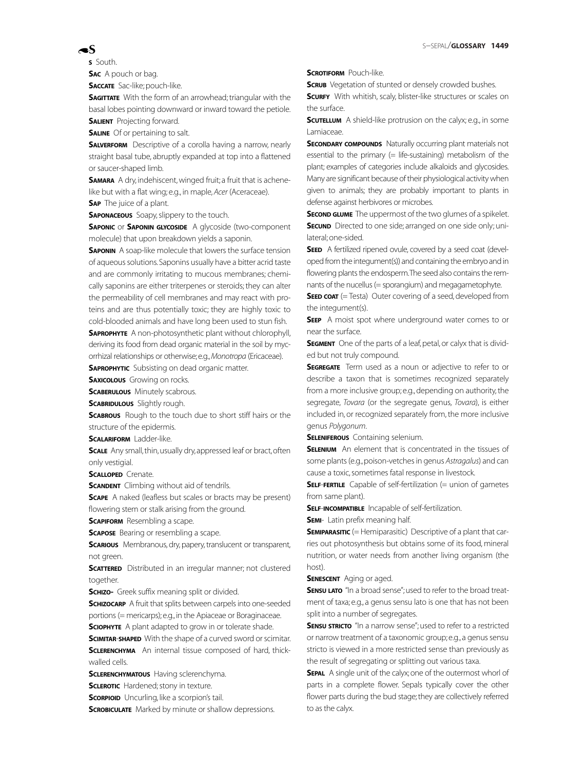## $\blacktriangle$ S

**S** South.

**SAC** A pouch or bag.

**SACCATE** Sac-like; pouch-like.

**SAGITTATE** With the form of an arrowhead; triangular with the basal lobes pointing downward or inward toward the petiole. **SALIENT** Projecting forward.

**SALINE** Of or pertaining to salt.

**SALVERFORM** Descriptive of a corolla having a narrow, nearly straight basal tube, abruptly expanded at top into a flattened or saucer-shaped limb.

**SAMARA** A dry, indehiscent, winged fruit; a fruit that is achenelike but with a flat wing; e.g., in maple, *Acer* (Aceraceae). **SAP** The juice of a plant.

**SAPONACEOUS** Soapy, slippery to the touch.

**SAPONIC** or **SAPONIN GLYCOSIDE** A glycoside (two-component molecule) that upon breakdown yields a saponin.

**SAPONIN** A soap-like molecule that lowers the surface tension of aqueous solutions.Saponins usually have a bitter acrid taste and are commonly irritating to mucous membranes; chemically saponins are either triterpenes or steroids; they can alter the permeability of cell membranes and may react with proteins and are thus potentially toxic; they are highly toxic to cold-blooded animals and have long been used to stun fish.

**SAPROPHYTE** A non-photosynthetic plant without chlorophyll, deriving its food from dead organic material in the soil by mycorrhizal relationships or otherwise;e.g.,*Monotropa* (Ericaceae).

**SAPROPHYTIC** Subsisting on dead organic matter.

**SAXICOLOUS** Growing on rocks.

**SCABERULOUS** Minutely scabrous.

**SCABRIDULOUS** Slightly rough.

**SCABROUS** Rough to the touch due to short stiff hairs or the structure of the epidermis.

**SCALARIFORM** Ladder-like.

**SCALE** Any small, thin, usually dry, appressed leaf or bract, often only vestigial.

**SCALLOPED** Crenate.

**SCANDENT** Climbing without aid of tendrils.

**SCAPE** A naked (leafless but scales or bracts may be present) flowering stem or stalk arising from the ground.

**SCAPIFORM** Resembling a scape.

**Scapose** Bearing or resembling a scape.

**SCARIOUS** Membranous, dry, papery, translucent or transparent, not green.

**SCATTERED** Distributed in an irregular manner; not clustered together.

**SCHIZO-** Greek suffix meaning split or divided.

**SCHIZOCARP** A fruit that splits between carpels into one-seeded portions (= mericarps); e.g., in the Apiaceae or Boraginaceae. **SCIOPHYTE** A plant adapted to grow in or tolerate shade.

**SCIMITAR**-**SHAPED** With the shape of a curved sword or scimitar. **SCLERENCHYMA** An internal tissue composed of hard, thickwalled cells.

**SCLERENCHYMATOUS** Having sclerenchyma.

**SCLEROTIC** Hardened; stony in texture.

**ScorpiolD** Uncurling, like a scorpion's tail.

**SCROBICULATE** Marked by minute or shallow depressions.

#### **SCROTIFORM** Pouch-like.

**SCRUB** Vegetation of stunted or densely crowded bushes.

**SCURFY** With whitish, scaly, blister-like structures or scales on the surface.

**SCUTELLUM** A shield-like protrusion on the calyx; e.g., in some Lamiaceae.

**SECONDARY COMPOUNDS** Naturally occurring plant materials not essential to the primary (= life-sustaining) metabolism of the plant; examples of categories include alkaloids and glycosides. Many are significant because of their physiological activity when given to animals; they are probably important to plants in defense against herbivores or microbes.

**SECOND GLUME** The uppermost of the two glumes of a spikelet. **SECUND** Directed to one side; arranged on one side only; unilateral; one-sided.

**SEED** A fertilized ripened ovule, covered by a seed coat (developed from the integument(s)) and containing the embryo and in flowering plants the endosperm.The seed also contains the remnants of the nucellus (= sporangium) and megagametophyte.

**SEED COAT** (= Testa) Outer covering of a seed, developed from the integument(s).

**SEEP** A moist spot where underground water comes to or near the surface.

**SEGMENT** One of the parts of a leaf, petal, or calyx that is divided but not truly compound.

**SEGREGATE** Term used as a noun or adjective to refer to or describe a taxon that is sometimes recognized separately from a more inclusive group; e.g., depending on authority, the segregate, *Tovara* (or the segregate genus, *Tovara*), is either included in, or recognized separately from, the more inclusive genus *Polygonum*.

**SELENIFEROUS** Containing selenium.

**SELENIUM** An element that is concentrated in the tissues of some plants (e.g.,poison-vetches in genus *Astragalus*) and can cause a toxic, sometimes fatal response in livestock.

**SELF-FERTILE** Capable of self-fertilization (= union of gametes from same plant).

**SELF**-**INCOMPATIBLE** Incapable of self-fertilization.

**SEMI-** Latin prefix meaning half.

**SEMIPARASITIC** (= Hemiparasitic) Descriptive of a plant that carries out photosynthesis but obtains some of its food, mineral nutrition, or water needs from another living organism (the host).

**SENESCENT** Aging or aged.

**SENSU LATO** "In a broad sense": used to refer to the broad treatment of taxa; e.g., a genus sensu lato is one that has not been split into a number of segregates.

**SENSU STRICTO** "In a narrow sense"; used to refer to a restricted or narrow treatment of a taxonomic group; e.g., a genus sensu stricto is viewed in a more restricted sense than previously as the result of segregating or splitting out various taxa.

**SEPAL** A single unit of the calyx; one of the outermost whorl of parts in a complete flower. Sepals typically cover the other flower parts during the bud stage; they are collectively referred to as the calyx.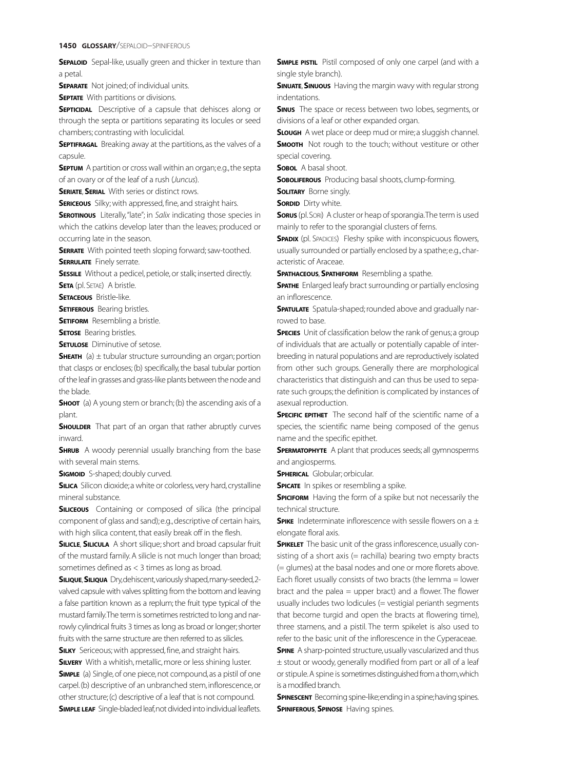**SEPALOID** Sepal-like, usually green and thicker in texture than a petal.

**SEPARATE** Not joined; of individual units.

**SEPTATE** With partitions or divisions.

**SEPTICIDAL** Descriptive of a capsule that dehisces along or through the septa or partitions separating its locules or seed chambers; contrasting with loculicidal.

**SEPTIFRAGAL** Breaking away at the partitions, as the valves of a capsule.

**SEPTUM** A partition or cross wall within an organ; e.g., the septa of an ovary or of the leaf of a rush (*Juncus*).

**SERIATE**, **SERIAL** With series or distinct rows.

**SERICEOUS** Silky; with appressed, fine, and straight hairs.

**SEROTINOUS** Literally,"late"; in *Salix* indicating those species in which the catkins develop later than the leaves; produced or occurring late in the season.

**SERRATE** With pointed teeth sloping forward; saw-toothed. **SERRULATE** Finely serrate.

**SESSILE** Without a pedicel, petiole, or stalk; inserted directly.

**SETA** (pl. SETAE) A bristle.

**SETACEOUS** Bristle-like.

**SETIFEROUS** Bearing bristles.

**SETIFORM** Resembling a bristle.

**SETOSE** Bearing bristles.

**SETULOSE** Diminutive of setose.

**SHEATH** (a)  $\pm$  tubular structure surrounding an organ; portion that clasps or encloses; (b) specifically, the basal tubular portion of the leaf in grasses and grass-like plants between the node and the blade.

**SHOOT** (a) A young stem or branch; (b) the ascending axis of a plant.

**SHOULDER** That part of an organ that rather abruptly curves inward.

**SHRUB** A woody perennial usually branching from the base with several main stems.

**SIGMOID** S-shaped; doubly curved.

**SILICA** Silicon dioxide; a white or colorless, very hard, crystalline mineral substance.

**SILICEOUS** Containing or composed of silica (the principal component of glass and sand);e.g.,descriptive of certain hairs, with high silica content, that easily break off in the flesh.

**SILICLE, SILICULA** A short silique; short and broad capsular fruit of the mustard family. A silicle is not much longer than broad; sometimes defined as < 3 times as long as broad.

**SILIQUE**,**SILIQUA** Dry,dehiscent,variously shaped,many-seeded,2 valved capsule with valves splitting from the bottom and leaving a false partition known as a replum; the fruit type typical of the mustard family.The term is sometimes restricted to long and narrowly cylindrical fruits 3 times as long as broad or longer; shorter fruits with the same structure are then referred to as silicles.

**SILKY** Sericeous; with appressed, fine, and straight hairs.

**SILVERY** With a whitish, metallic, more or less shining luster. **SIMPLE** (a) Single, of one piece, not compound, as a pistil of one carpel.(b) descriptive of an unbranched stem, inflorescence, or other structure; (c) descriptive of a leaf that is not compound. **SIMPLE LEAF** Single-bladed leaf,not divided into individual leaflets. **SIMPLE PISTIL** Pistil composed of only one carpel (and with a single style branch).

**SINUATE**,**SINUOUS** Having the margin wavy with regular strong indentations.

**SINUS** The space or recess between two lobes, segments, or divisions of a leaf or other expanded organ.

**SLOUGH** A wet place or deep mud or mire; a sluggish channel. **SMOOTH** Not rough to the touch; without vestiture or other special covering.

**SOBOL** A basal shoot.

**SOBOLIFEROUS** Producing basal shoots, clump-forming.

**SOLITARY** Borne singly.

**SordID** Dirty white.

**Sorus** (pl. Sori) A cluster or heap of sporangia. The term is used mainly to refer to the sporangial clusters of ferns.

**SPADIX** (pl. SPADICES) Fleshy spike with inconspicuous flowers, usually surrounded or partially enclosed by a spathe;e.g.,characteristic of Araceae.

**SPATHACEOUS**, **SPATHIFORM** Resembling a spathe.

**SPATHE** Enlarged leafy bract surrounding or partially enclosing an inflorescence.

**SPATULATE** Spatula-shaped; rounded above and gradually narrowed to base.

**SPECIES** Unit of classification below the rank of genus; a group of individuals that are actually or potentially capable of interbreeding in natural populations and are reproductively isolated from other such groups. Generally there are morphological characteristics that distinguish and can thus be used to separate such groups; the definition is complicated by instances of asexual reproduction.

**SPECIFIC EPITHET** The second half of the scientific name of a species, the scientific name being composed of the genus name and the specific epithet.

**SPERMATOPHYTE** A plant that produces seeds; all gymnosperms and angiosperms.

**SPHERICAL** Globular; orbicular.

**SPICATE** In spikes or resembling a spike.

**SPICIFORM** Having the form of a spike but not necessarily the technical structure.

**SPIKE** Indeterminate inflorescence with sessile flowers on a ± elongate floral axis.

**SPIKELET** The basic unit of the grass inflorescence, usually consisting of a short axis  $(=$  rachilla) bearing two empty bracts (= glumes) at the basal nodes and one or more florets above. Each floret usually consists of two bracts (the lemma = lower bract and the palea = upper bract) and a flower. The flower usually includes two lodicules (= vestigial perianth segments that become turgid and open the bracts at flowering time), three stamens, and a pistil. The term spikelet is also used to refer to the basic unit of the inflorescence in the Cyperaceae. **SPINE** A sharp-pointed structure, usually vascularized and thus ± stout or woody, generally modified from part or all of a leaf

or stipule.A spine is sometimes distinguished from a thorn,which is a modified branch.

**SPINESCENT** Becoming spine-like; ending in a spine; having spines. **SPINIFEROUS, SPINOSE** Having spines.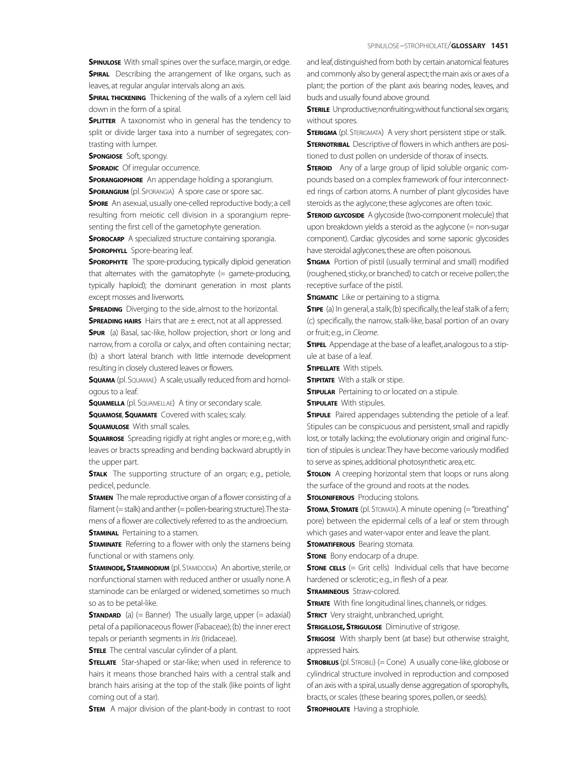**SPINULOSE** With small spines over the surface, margin, or edge. **SPIRAL** Describing the arrangement of like organs, such as leaves, at regular angular intervals along an axis.

**SPIRAL THICKENING** Thickening of the walls of a xylem cell laid down in the form of a spiral.

**SPLITTER** A taxonomist who in general has the tendency to split or divide larger taxa into a number of segregates; contrasting with lumper.

**SPONGIOSE** Soft, spongy.

**SPORADIC** Of irregular occurrence.

**SPORANGIOPHORE** An appendage holding a sporangium. **SPORANGIUM** (pl. SPORANGIA) A spore case or spore sac.

**SPORE** An asexual, usually one-celled reproductive body; a cell resulting from meiotic cell division in a sporangium representing the first cell of the gametophyte generation.

**SPOROCARP** A specialized structure containing sporangia. **SPOROPHYLL** Spore-bearing leaf.

**SPOROPHYTE** The spore-producing, typically diploid generation that alternates with the gamatophyte (= gamete-producing, typically haploid); the dominant generation in most plants except mosses and liverworts.

**SPREADING** Diverging to the side, almost to the horizontal. **SPREADING HAIRS** Hairs that are  $\pm$  erect, not at all appressed.

**SPUR** (a) Basal, sac-like, hollow projection, short or long and narrow, from a corolla or calyx, and often containing nectar; (b) a short lateral branch with little internode development resulting in closely clustered leaves or flowers.

**SQUAMA** (pl. SQUAMAE) A scale, usually reduced from and homologous to a leaf.

**SQUAMELLA** (pl. SQUAMELLAE) A tiny or secondary scale.

**SQUAMOSE, SQUAMATE** Covered with scales; scaly.

**SQUAMULOSE** With small scales.

**SQUARROSE** Spreading rigidly at right angles or more; e.g., with leaves or bracts spreading and bending backward abruptly in the upper part.

**STALK** The supporting structure of an organ; e.g., petiole, pedicel, peduncle.

**STAMEN** The male reproductive organ of a flower consisting of a filament (= stalk) and anther (= pollen-bearing structure).The stamens of a flower are collectively referred to as the androecium. **STAMINAL** Pertaining to a stamen.

**STAMINATE** Referring to a flower with only the stamens being functional or with stamens only.

**STAMINODE, STAMINODIUM** (pl. STAMIDODIA) An abortive, sterile, or nonfunctional stamen with reduced anther or usually none. A staminode can be enlarged or widened, sometimes so much so as to be petal-like.

**STANDARD** (a) (= Banner) The usually large, upper (= adaxial) petal of a papilionaceous flower (Fabaceae);(b) the inner erect tepals or perianth segments in *Iris* (Iridaceae).

**STELE** The central vascular cylinder of a plant.

**STELLATE** Star-shaped or star-like; when used in reference to hairs it means those branched hairs with a central stalk and branch hairs arising at the top of the stalk (like points of light coming out of a star).

**STEM** A major division of the plant-body in contrast to root

and leaf, distinguished from both by certain anatomical features and commonly also by general aspect; the main axis or axes of a plant; the portion of the plant axis bearing nodes, leaves, and buds and usually found above ground.

**STERILE** Unproductive; nonfruiting; without functional sex organs; without spores.

**STERIGMA** (pl. STERIGMATA) A very short persistent stipe or stalk. **STERNOTRIBAL** Descriptive of flowers in which anthers are positioned to dust pollen on underside of thorax of insects.

**STEROID** Any of a large group of lipid soluble organic compounds based on a complex framework of four interconnected rings of carbon atoms. A number of plant glycosides have steroids as the aglycone; these aglycones are often toxic.

**STEROID GLYCOSIDE** A glycoside (two-component molecule) that upon breakdown yields a steroid as the aglycone (= non-sugar component). Cardiac glycosides and some saponic glycosides have steroidal aglycones; these are often poisonous.

**STIGMA** Portion of pistil (usually terminal and small) modified (roughened, sticky, or branched) to catch or receive pollen; the receptive surface of the pistil.

**STIGMATIC** Like or pertaining to a stigma.

**STIPE** (a) In general, a stalk; (b) specifically, the leaf stalk of a fern; (c) specifically, the narrow, stalk-like, basal portion of an ovary or fruit; e.g., in *Cleome*.

**STIPEL** Appendage at the base of a leaflet, analogous to a stipule at base of a leaf.

**STIPELLATE** With stipels.

**STIPITATE** With a stalk or stipe.

**STIPULAR** Pertaining to or located on a stipule.

**STIPULATE** With stipules.

**STIPULE** Paired appendages subtending the petiole of a leaf. Stipules can be conspicuous and persistent, small and rapidly lost, or totally lacking; the evolutionary origin and original function of stipules is unclear.They have become variously modified to serve as spines, additional photosynthetic area, etc.

**STOLON** A creeping horizontal stem that loops or runs along the surface of the ground and roots at the nodes.

**STOLONIFEROUS** Producing stolons.

**STOMA, STOMATE** (pl. STOMATA). A minute opening (= "breathing" pore) between the epidermal cells of a leaf or stem through which gases and water-vapor enter and leave the plant.

**STOMATIFEROUS** Bearing stomata.

**STONE** Bony endocarp of a drupe.

**STONE CELLS** (= Grit cells) Individual cells that have become hardened or sclerotic; e.g., in flesh of a pear.

**STRAMINEOUS** Straw-colored.

**STRIATE** With fine longitudinal lines, channels, or ridges. **STRICT** Very straight, unbranched, upright.

**STRIGILLOSE, STRIGULOSE** Diminutive of strigose.

**STRIGOSE** With sharply bent (at base) but otherwise straight, appressed hairs.

**STROBILUS** (pl. STROBILI) (= Cone) A usually cone-like, globose or cylindrical structure involved in reproduction and composed of an axis with a spiral, usually dense aggregation of sporophylls, bracts, or scales (these bearing spores, pollen, or seeds).

**STROPHIOLATE** Having a strophiole.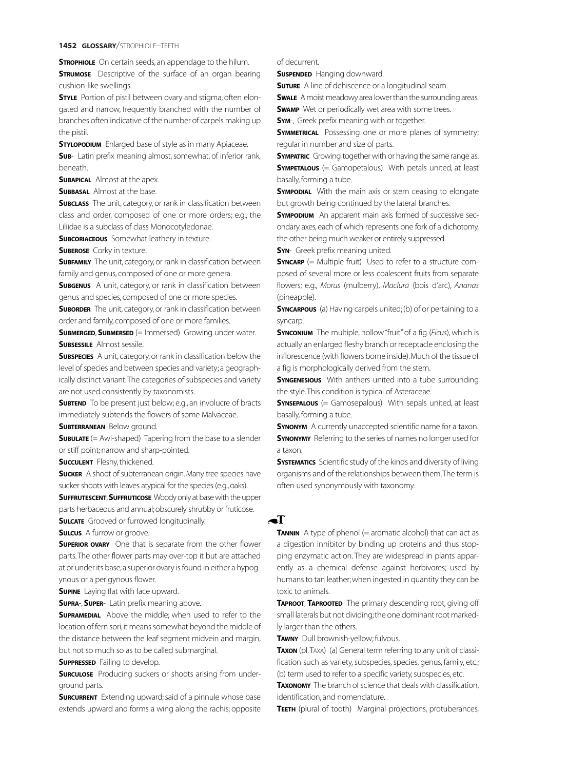**STROPHIOLE** On certain seeds, an appendage to the hilum.

**STRUMOSE** Descriptive of the surface of an organ bearing cushion-like swellings.

**STYLE** Portion of pistil between ovary and stigma, often elongated and narrow, frequently branched with the number of branches often indicative of the number of carpels making up the pistil.

**STYLOPODIUM** Enlarged base of style as in many Apiaceae.

**SUB**- Latin prefix meaning almost, somewhat, of inferior rank, beneath.

**SUBAPICAL** Almost at the apex.

**SUBBASAL** Almost at the base.

**SUBCLASS** The unit, category, or rank in classification between class and order, composed of one or more orders; e.g., the Liliidae is a subclass of class Monocotyledonae.

**SUBCORIACEOUS** Somewhat leathery in texture.

**SUBEROSE** Corky in texture.

**SUBFAMILY** The unit, category, or rank in classification between family and genus, composed of one or more genera.

**SUBGENUS** A unit, category, or rank in classification between genus and species, composed of one or more species.

**SUBORDER** The unit, category, or rank in classification between order and family, composed of one or more families.

**SUBMERGED**, **SUBMERSED** (= Immersed) Growing under water. **SUBSESSILE** Almost sessile.

**SUBSPECIES** A unit, category, or rank in classification below the level of species and between species and variety;a geographically distinct variant.The categories of subspecies and variety are not used consistently by taxonomists.

**SUBTEND** To be present just below; e.g., an involucre of bracts immediately subtends the flowers of some Malvaceae.

**SUBTERRANEAN** Below ground.

**SUBULATE** (= Awl-shaped) Tapering from the base to a slender or stiff point; narrow and sharp-pointed.

**SUCCULENT** Fleshy, thickened.

**SUCKER** A shoot of subterranean origin. Many tree species have sucker shoots with leaves atypical for the species (e.g.,oaks).

**SUFFRUTESCENT**,**SUFFRUTICOSE** Woody only at base with the upper parts herbaceous and annual; obscurely shrubby or fruticose. **SULCATE** Grooved or furrowed longitudinally.

**Sulcus** A furrow or groove.

**SUPERIOR OVARY** One that is separate from the other flower parts.The other flower parts may over-top it but are attached at or under its base;a superior ovary is found in either a hypogynous or a perigynous flower.

**SUPINE** Laying flat with face upward.

**SUPRA**-, **SUPER**- Latin prefix meaning above.

**SUPRAMEDIAL** Above the middle; when used to refer to the location of fern sori, it means somewhat beyond the middle of the distance between the leaf segment midvein and margin, but not so much so as to be called submarginal.

**SUPPRESSED** Failing to develop.

**SURCULOSE** Producing suckers or shoots arising from underground parts.

**SURCURRENT** Extending upward; said of a pinnule whose base extends upward and forms a wing along the rachis; opposite

#### of decurrent.

**SUSPENDED** Hanging downward.

**SUTURE** A line of dehiscence or a longitudinal seam.

**SWALE** A moist meadowy area lower than the surrounding areas.

**Swamp** Wet or periodically wet area with some trees.

**SYM**-, Greek prefix meaning with or together.

**SYMMETRICAL** Possessing one or more planes of symmetry; regular in number and size of parts.

**SYMPATRIC** Growing together with or having the same range as. **SYMPETALOUS** (= Gamopetalous) With petals united, at least basally, forming a tube.

**SYMPODIAL** With the main axis or stem ceasing to elongate but growth being continued by the lateral branches.

**SYMPODIUM** An apparent main axis formed of successive secondary axes, each of which represents one fork of a dichotomy, the other being much weaker or entirely suppressed.

**SYN-** Greek prefix meaning united.

**SYNCARP** (= Multiple fruit) Used to refer to a structure composed of several more or less coalescent fruits from separate flowers; e.g., *Morus* (mulberry), *Maclura* (bois d'arc), *Ananas* (pineapple).

**SYNCARPOUS** (a) Having carpels united; (b) of or pertaining to a syncarp.

**SYNCONIUM** The multiple, hollow "fruit" of a fig (*Ficus*), which is actually an enlarged fleshy branch or receptacle enclosing the inflorescence (with flowers borne inside).Much of the tissue of a fig is morphologically derived from the stem.

**SYNGENESIOUS** With anthers united into a tube surrounding the style.This condition is typical of Asteraceae.

**SYNSEPALOUS** (= Gamosepalous) With sepals united, at least basally, forming a tube.

**SYNONYM** A currently unaccepted scientific name for a taxon. **SYNONYMY** Referring to the series of names no longer used for a taxon.

**SYSTEMATICS** Scientific study of the kinds and diversity of living organisms and of the relationships between them.The term is often used synonymously with taxonomy.

## T A

**TANNIN** A type of phenol (= aromatic alcohol) that can act as a digestion inhibitor by binding up proteins and thus stopping enzymatic action. They are widespread in plants apparently as a chemical defense against herbivores; used by humans to tan leather;when ingested in quantity they can be toxic to animals.

**TAPROOT**, **TAPROOTED** The primary descending root, giving off small laterals but not dividing;the one dominant root markedly larger than the others.

**TAWNY** Dull brownish-yellow; fulvous.

**TAXON** (pl. TAXA) (a) General term referring to any unit of classification such as variety, subspecies, species, genus, family, etc.; (b) term used to refer to a specific variety, subspecies, etc.

**TAXONOMY** The branch of science that deals with classification, identification, and nomenclature.

**TEETH** (plural of tooth) Marginal projections, protuberances,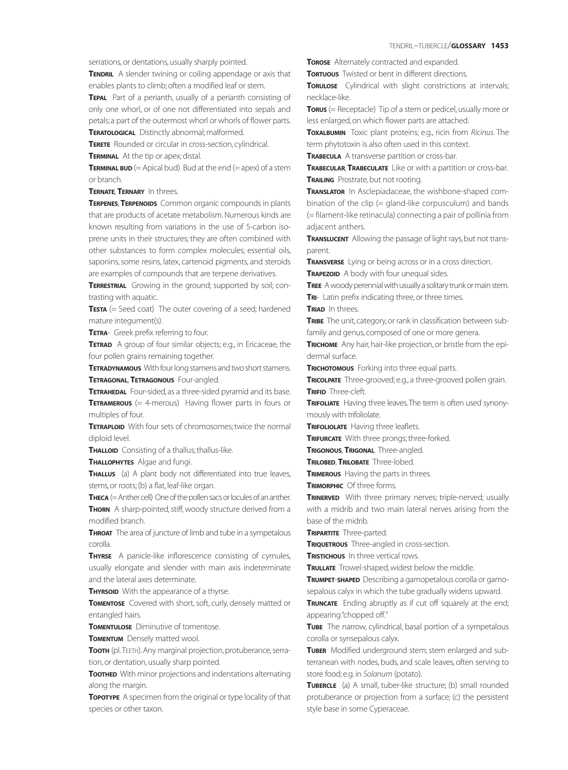serrations, or dentations, usually sharply pointed.

**TENDRIL** A slender twining or coiling appendage or axis that enables plants to climb; often a modified leaf or stem.

**TEPAL** Part of a perianth, usually of a perianth consisting of only one whorl, or of one not differentiated into sepals and petals; a part of the outermost whorl or whorls of flower parts. **TERATOLOGICAL** Distinctly abnormal; malformed.

**TERETE** Rounded or circular in cross-section, cylindrical. **TERMINAL** At the tip or apex; distal.

**TERMINAL BUD** (= Apical bud) Bud at the end (= apex) of a stem or branch.

**TERNATE, TERNARY** In threes.

**TERPENES**,**TERPENOIDS** Common organic compounds in plants that are products of acetate metabolism. Numerous kinds are known resulting from variations in the use of 5-carbon isoprene units in their structures; they are often combined with other substances to form complex molecules; essential oils, saponins, some resins, latex, cartenoid pigments, and steroids are examples of compounds that are terpene derivatives.

**TERRESTRIAL** Growing in the ground; supported by soil; contrasting with aquatic.

**TESTA** (= Seed coat) The outer covering of a seed; hardened mature integument(s).

**TETRA**- Greek prefix referring to four.

**TETRAD** A group of four similar objects; e.g., in Ericaceae, the four pollen grains remaining together.

**TETRADYNAMOUS** With four long stamens and two short stamens. **TETRAGONAL**,**TETRAGONOUS** Four-angled.

**TETRAHEDAL** Four-sided, as a three-sided pyramid and its base. **TETRAMEROUS** (= 4-merous) Having flower parts in fours or multiples of four.

**TETRAPLOID** With four sets of chromosomes; twice the normal diploid level.

**THALLOID** Consisting of a thallus; thallus-like.

**THALLOPHYTES** Algae and fungi.

**THALLUS** (a) A plant body not differentiated into true leaves, stems,or roots; (b) a flat, leaf-like organ.

**THECA** (= Anther cell) One of the pollen sacs or locules of an anther. **THORN** A sharp-pointed, stiff, woody structure derived from a modified branch.

**THROAT** The area of juncture of limb and tube in a sympetalous corolla.

**THYRSE** A panicle-like inflorescence consisting of cymules, usually elongate and slender with main axis indeterminate and the lateral axes determinate.

**THYRSOID** With the appearance of a thyrse.

**TOMENTOSE** Covered with short, soft, curly, densely matted or entangled hairs.

**TOMENTULOSE** Diminutive of tomentose.

**TOMENTUM** Densely matted wool.

**TOOTH** (pl. TEETH). Any marginal projection, protuberance, serration, or dentation, usually sharp pointed.

**TOOTHED** With minor projections and indentations alternating along the margin.

**TOPOTYPE** A specimen from the original or type locality of that species or other taxon.

**TOROSE** Alternately contracted and expanded.

**TORTUOUS** Twisted or bent in different directions.

**TORULOSE** Cylindrical with slight constrictions at intervals; necklace-like.

**Torus** (= Receptacle) Tip of a stem or pedicel, usually more or less enlarged, on which flower parts are attached.

**TOXALBUMIN** Toxic plant proteins; e.g., ricin from *Ricinus*. The term phytotoxin is also often used in this context.

**TRABECULA** A transverse partition or cross-bar.

**TRABECULAR**,**TRABECULATE** Like or with a partition or cross-bar. **TRAILING** Prostrate, but not rooting.

**TRANSLATOR** In Asclepiadaceae, the wishbone-shaped combination of the clip (= gland-like corpusculum) and bands (= filament-like retinacula) connecting a pair of pollinia from adjacent anthers.

**TRANSLUCENT** Allowing the passage of light rays, but not transparent.

**TRANSVERSE** Lying or being across or in a cross direction. **TRAPEZOID** A body with four unequal sides.

**TREE** A woody perennial with usually a solitary trunk or main stem. **TRI**- Latin prefix indicating three, or three times.

**TRIAD** In threes.

**TRIBE** The unit, category, or rank in classification between subfamily and genus, composed of one or more genera.

**TRICHOME** Any hair, hair-like projection, or bristle from the epidermal surface.

**TRICHOTOMOUS** Forking into three equal parts.

**TRICOLPATE** Three-grooved; e.g., a three-grooved pollen grain. **TRIFID** Three-cleft.

**TRIFOLIATE** Having three leaves.The term is often used synonymously with trifoliolate.

**TRIFOLIOLATE** Having three leaflets.

**TRIFURCATE** With three prongs; three-forked.

**TRIGONOUS**, **TRIGONAL** Three-angled.

**TRILOBED**,**TRILOBATE** Three-lobed.

**TRIMEROUS** Having the parts in threes.

**TRIMORPHIC** Of three forms.

**TRINERVED** With three primary nerves; triple-nerved; usually with a midrib and two main lateral nerves arising from the base of the midrib.

**TRIPARTITE** Three-parted.

**TRIQUETROUS** Three-angled in cross-section.

**TRISTICHOUS** In three vertical rows.

**TRULLATE** Trowel-shaped, widest below the middle.

**TRUMPET**-**SHAPED** Describing a gamopetalous corolla or gamosepalous calyx in which the tube gradually widens upward.

**TRUNCATE** Ending abruptly as if cut off squarely at the end; appearing "chopped off."

**TUBE** The narrow, cylindrical, basal portion of a sympetalous corolla or synsepalous calyx.

**TUBER** Modified underground stem; stem enlarged and subterranean with nodes, buds, and scale leaves, often serving to store food; e.g. in *Solanum* (potato).

**TUBERCLE** (a) A small, tuber-like structure; (b) small rounded protuberance or projection from a surface; (c) the persistent style base in some Cyperaceae.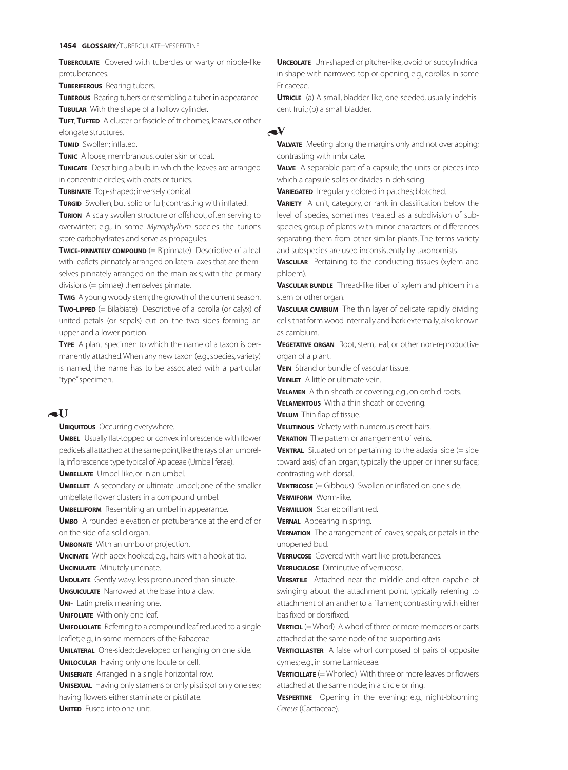**TUBERCULATE** Covered with tubercles or warty or nipple-like protuberances.

**TUBERIFEROUS** Bearing tubers.

**TUBEROUS** Bearing tubers or resembling a tuber in appearance. **TUBULAR** With the shape of a hollow cylinder.

**TUFT**;**TUFTED** A cluster or fascicle of trichomes, leaves, or other elongate structures.

**TUMID** Swollen; inflated.

**TUNIC** A loose, membranous, outer skin or coat.

**TUNICATE** Describing a bulb in which the leaves are arranged in concentric circles; with coats or tunics.

**TURBINATE** Top-shaped; inversely conical.

**TURGID** Swollen, but solid or full; contrasting with inflated.

**TURION** A scaly swollen structure or offshoot, often serving to overwinter; e.g., in some *Myriophyllum* species the turions store carbohydrates and serve as propagules.

**TWICE-PINNATELY COMPOUND** (= Bipinnate) Descriptive of a leaf with leaflets pinnately arranged on lateral axes that are themselves pinnately arranged on the main axis; with the primary divisions (= pinnae) themselves pinnate.

**Twig** A young woody stem; the growth of the current season. **TWO-LIPPED** (= Bilabiate) Descriptive of a corolla (or calyx) of united petals (or sepals) cut on the two sides forming an upper and a lower portion.

**TYPE** A plant specimen to which the name of a taxon is permanently attached.When any new taxon (e.g., species, variety) is named, the name has to be associated with a particular "type"specimen.

# U A

**UBIQUITOUS** Occurring everywhere.

**UMBEL** Usually flat-topped or convex inflorescence with flower pedicels all attached at the same point, like the rays of an umbrella;inflorescence type typical of Apiaceae (Umbelliferae). **UMBELLATE** Umbel-like, or in an umbel.

**UMBELLET** A secondary or ultimate umbel; one of the smaller umbellate flower clusters in a compound umbel.

**UMBELLIFORM** Resembling an umbel in appearance.

**UMBO** A rounded elevation or protuberance at the end of or on the side of a solid organ.

**UMBONATE** With an umbo or projection.

**UNCINATE** With apex hooked; e.g., hairs with a hook at tip. **UNCINULATE** Minutely uncinate.

**UNDULATE** Gently wavy, less pronounced than sinuate.

**UNGUICULATE** Narrowed at the base into a claw.

**UNI**- Latin prefix meaning one.

**UNIFOLIATE** With only one leaf.

**UNIFOLIOLATE** Referring to a compound leaf reduced to a single leaflet; e.g., in some members of the Fabaceae.

**UNILATERAL** One-sided; developed or hanging on one side.

**UNILOCULAR** Having only one locule or cell.

**UNISERIATE** Arranged in a single horizontal row.

**UNISEXUAL** Having only stamens or only pistils; of only one sex; having flowers either staminate or pistillate.

**UNITED** Fused into one unit.

**URCEOLATE** Urn-shaped or pitcher-like, ovoid or subcylindrical in shape with narrowed top or opening; e.g., corollas in some Ericaceae.

**UTRICLE** (a) A small, bladder-like, one-seeded, usually indehiscent fruit; (b) a small bladder.

 $\lll$ **VALVATE** Meeting along the margins only and not overlapping; contrasting with imbricate.

**VALVE** A separable part of a capsule; the units or pieces into which a capsule splits or divides in dehiscing.

**VARIEGATED** Irregularly colored in patches; blotched.

**VARIETY** A unit, category, or rank in classification below the level of species, sometimes treated as a subdivision of subspecies; group of plants with minor characters or differences separating them from other similar plants. The terms variety and subspecies are used inconsistently by taxonomists.

**VASCULAR** Pertaining to the conducting tissues (xylem and phloem).

**VASCULAR BUNDLE** Thread-like fiber of xylem and phloem in a stem or other organ.

**VASCULAR CAMBIUM** The thin layer of delicate rapidly dividing cells that form wood internally and bark externally;also known as cambium.

**VEGETATIVE ORGAN** Root, stem, leaf, or other non-reproductive organ of a plant.

**VEIN** Strand or bundle of vascular tissue.

**VEINLET** A little or ultimate vein.

**VELAMEN** A thin sheath or covering; e.g., on orchid roots.

**VELAMENTOUS** With a thin sheath or covering.

**VELUM** Thin flap of tissue.

**VELUTINOUS** Velvety with numerous erect hairs.

**VENATION** The pattern or arrangement of veins.

**VENTRAL** Situated on or pertaining to the adaxial side (= side toward axis) of an organ; typically the upper or inner surface; contrasting with dorsal.

**VENTRICOSE** (= Gibbous) Swollen or inflated on one side.

**VERMIFORM** Worm-like.

**VERMILLION** Scarlet: brillant red.

**VERNAL** Appearing in spring.

**VERNATION** The arrangement of leaves, sepals, or petals in the unopened bud.

**VERRUCOSE** Covered with wart-like protuberances.

**VERRUCULOSE** Diminutive of verrucose.

**VERSATILE** Attached near the middle and often capable of swinging about the attachment point, typically referring to attachment of an anther to a filament; contrasting with either basifixed or dorsifixed.

**VERTICIL** (= Whorl) A whorl of three or more members or parts attached at the same node of the supporting axis.

**VERTICILLASTER** A false whorl composed of pairs of opposite cymes; e.g., in some Lamiaceae.

**VERTICILLATE** (= Whorled) With three or more leaves or flowers attached at the same node; in a circle or ring.

**VESPERTINE** Opening in the evening; e.g., night-blooming *Cereus* (Cactaceae).